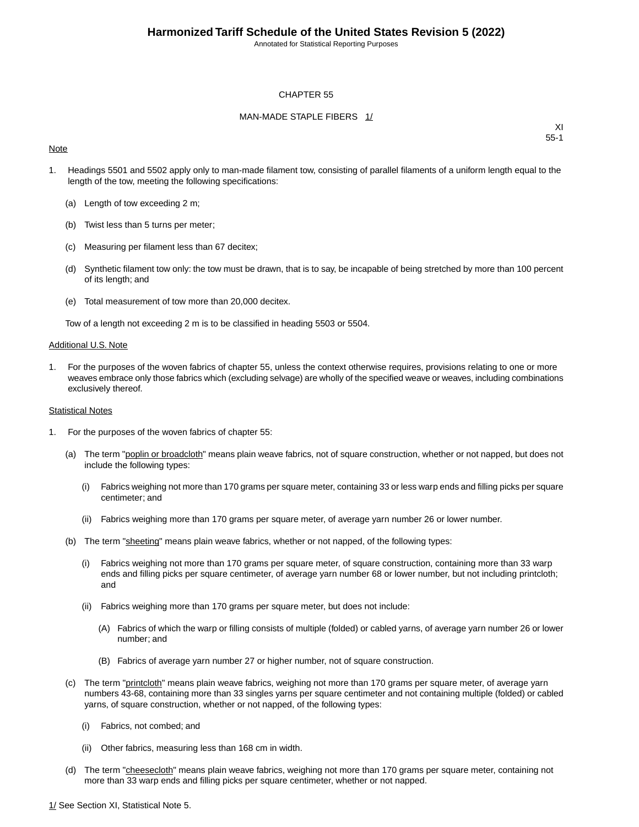Annotated for Statistical Reporting Purposes

#### CHAPTER 55

#### MAN-MADE STAPLE FIBERS 1/

#### **Note**

XI 55-1

- 1. Headings 5501 and 5502 apply only to man-made filament tow, consisting of parallel filaments of a uniform length equal to the length of the tow, meeting the following specifications:
	- (a) Length of tow exceeding 2 m;
	- (b) Twist less than 5 turns per meter;
	- (c) Measuring per filament less than 67 decitex;
	- (d) Synthetic filament tow only: the tow must be drawn, that is to say, be incapable of being stretched by more than 100 percent of its length; and
	- (e) Total measurement of tow more than 20,000 decitex.

Tow of a length not exceeding 2 m is to be classified in heading 5503 or 5504.

#### Additional U.S. Note

1. For the purposes of the woven fabrics of chapter 55, unless the context otherwise requires, provisions relating to one or more weaves embrace only those fabrics which (excluding selvage) are wholly of the specified weave or weaves, including combinations exclusively thereof.

#### Statistical Notes

- 1. For the purposes of the woven fabrics of chapter 55:
	- (a) The term "poplin or broadcloth" means plain weave fabrics, not of square construction, whether or not napped, but does not include the following types:
		- (i) Fabrics weighing not more than 170 grams per square meter, containing 33 or less warp ends and filling picks per square centimeter; and
		- (ii) Fabrics weighing more than 170 grams per square meter, of average yarn number 26 or lower number.
	- (b) The term "sheeting" means plain weave fabrics, whether or not napped, of the following types:
		- (i) Fabrics weighing not more than 170 grams per square meter, of square construction, containing more than 33 warp ends and filling picks per square centimeter, of average yarn number 68 or lower number, but not including printcloth; and
		- (ii) Fabrics weighing more than 170 grams per square meter, but does not include:
			- (A) Fabrics of which the warp or filling consists of multiple (folded) or cabled yarns, of average yarn number 26 or lower number; and
			- (B) Fabrics of average yarn number 27 or higher number, not of square construction.
	- (c) The term "printcloth" means plain weave fabrics, weighing not more than 170 grams per square meter, of average yarn numbers 43-68, containing more than 33 singles yarns per square centimeter and not containing multiple (folded) or cabled yarns, of square construction, whether or not napped, of the following types:
		- (i) Fabrics, not combed; and
		- (ii) Other fabrics, measuring less than 168 cm in width.
	- (d) The term "cheesecloth" means plain weave fabrics, weighing not more than 170 grams per square meter, containing not more than 33 warp ends and filling picks per square centimeter, whether or not napped.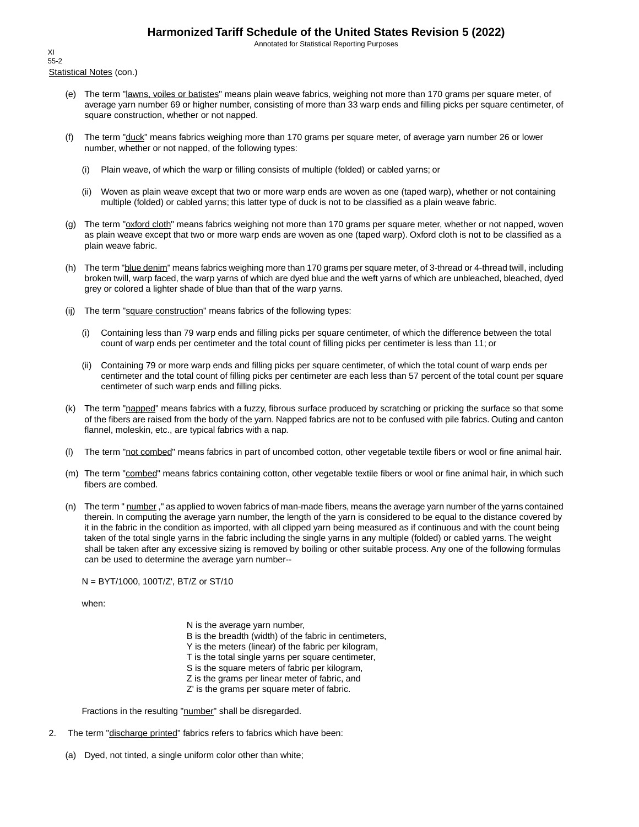Annotated for Statistical Reporting Purposes

Statistical Notes (con.) XI 55-2

- (e) The term "lawns, voiles or batistes" means plain weave fabrics, weighing not more than 170 grams per square meter, of average yarn number 69 or higher number, consisting of more than 33 warp ends and filling picks per square centimeter, of square construction, whether or not napped.
- (f) The term "duck" means fabrics weighing more than 170 grams per square meter, of average yarn number 26 or lower number, whether or not napped, of the following types:
	- (i) Plain weave, of which the warp or filling consists of multiple (folded) or cabled yarns; or
	- (ii) Woven as plain weave except that two or more warp ends are woven as one (taped warp), whether or not containing multiple (folded) or cabled yarns; this latter type of duck is not to be classified as a plain weave fabric.
- (g) The term "oxford cloth" means fabrics weighing not more than 170 grams per square meter, whether or not napped, woven as plain weave except that two or more warp ends are woven as one (taped warp). Oxford cloth is not to be classified as a plain weave fabric.
- (h) The term "blue denim" means fabrics weighing more than 170 grams per square meter, of 3-thread or 4-thread twill, including broken twill, warp faced, the warp yarns of which are dyed blue and the weft yarns of which are unbleached, bleached, dyed grey or colored a lighter shade of blue than that of the warp yarns.
- (ij) The term "square construction" means fabrics of the following types:
	- (i) Containing less than 79 warp ends and filling picks per square centimeter, of which the difference between the total count of warp ends per centimeter and the total count of filling picks per centimeter is less than 11; or
	- (ii) Containing 79 or more warp ends and filling picks per square centimeter, of which the total count of warp ends per centimeter and the total count of filling picks per centimeter are each less than 57 percent of the total count per square centimeter of such warp ends and filling picks.
- (k) The term "napped" means fabrics with a fuzzy, fibrous surface produced by scratching or pricking the surface so that some of the fibers are raised from the body of the yarn. Napped fabrics are not to be confused with pile fabrics. Outing and canton flannel, moleskin, etc., are typical fabrics with a nap.
- (l) The term "not combed" means fabrics in part of uncombed cotton, other vegetable textile fibers or wool or fine animal hair.
- (m) The term "combed" means fabrics containing cotton, other vegetable textile fibers or wool or fine animal hair, in which such fibers are combed.
- (n) The term " number," as applied to woven fabrics of man-made fibers, means the average yarn number of the yarns contained therein. In computing the average yarn number, the length of the yarn is considered to be equal to the distance covered by it in the fabric in the condition as imported, with all clipped yarn being measured as if continuous and with the count being taken of the total single yarns in the fabric including the single yarns in any multiple (folded) or cabled yarns. The weight shall be taken after any excessive sizing is removed by boiling or other suitable process. Any one of the following formulas can be used to determine the average yarn number--

N = BYT/1000, 100T/Z', BT/Z or ST/10

when:

N is the average yarn number, B is the breadth (width) of the fabric in centimeters, Y is the meters (linear) of the fabric per kilogram, T is the total single yarns per square centimeter, S is the square meters of fabric per kilogram, Z is the grams per linear meter of fabric, and Z' is the grams per square meter of fabric.

Fractions in the resulting "number" shall be disregarded.

- 2. The term "discharge printed" fabrics refers to fabrics which have been:
	- (a) Dyed, not tinted, a single uniform color other than white;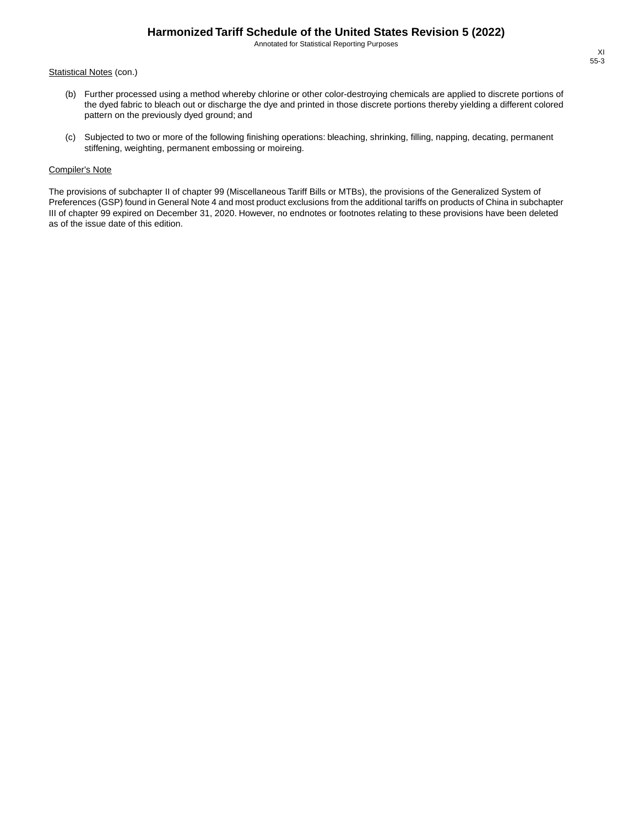Annotated for Statistical Reporting Purposes

#### Statistical Notes (con.)

- (b) Further processed using a method whereby chlorine or other color-destroying chemicals are applied to discrete portions of the dyed fabric to bleach out or discharge the dye and printed in those discrete portions thereby yielding a different colored pattern on the previously dyed ground; and
- (c) Subjected to two or more of the following finishing operations: bleaching, shrinking, filling, napping, decating, permanent stiffening, weighting, permanent embossing or moireing.

#### Compiler's Note

The provisions of subchapter II of chapter 99 (Miscellaneous Tariff Bills or MTBs), the provisions of the Generalized System of Preferences (GSP) found in General Note 4 and most product exclusions from the additional tariffs on products of China in subchapter III of chapter 99 expired on December 31, 2020. However, no endnotes or footnotes relating to these provisions have been deleted as of the issue date of this edition.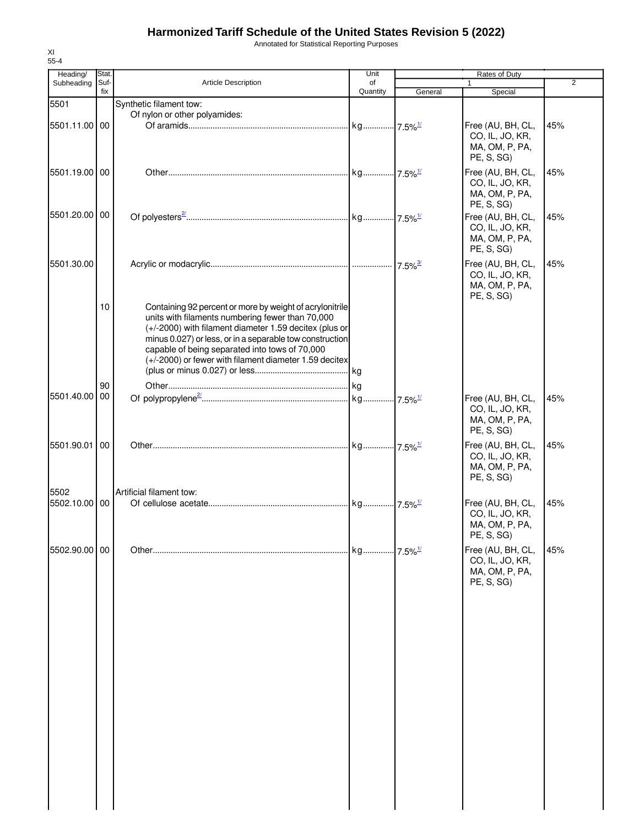Annotated for Statistical Reporting Purposes

| Heading/      | Stat.       |                                                                                                                                                                                                                                                                                                                                                | Unit           |         | Rates of Duty                                                        |     |
|---------------|-------------|------------------------------------------------------------------------------------------------------------------------------------------------------------------------------------------------------------------------------------------------------------------------------------------------------------------------------------------------|----------------|---------|----------------------------------------------------------------------|-----|
| Subheading    | Suf-<br>fix | <b>Article Description</b>                                                                                                                                                                                                                                                                                                                     | of<br>Quantity | General | $\mathbf{1}$<br>Special                                              | 2   |
| 5501          |             | Synthetic filament tow:                                                                                                                                                                                                                                                                                                                        |                |         |                                                                      |     |
|               |             | Of nylon or other polyamides:                                                                                                                                                                                                                                                                                                                  |                |         |                                                                      |     |
| 5501.11.00 00 |             |                                                                                                                                                                                                                                                                                                                                                |                |         | Free (AU, BH, CL,<br>CO, IL, JO, KR,<br>MA, OM, P, PA,<br>PE, S, SG) | 45% |
| 5501.19.00 00 |             |                                                                                                                                                                                                                                                                                                                                                |                |         | Free (AU, BH, CL,<br>CO, IL, JO, KR,<br>MA, OM, P, PA,<br>PE, S, SG) | 45% |
| 5501.20.00 00 |             |                                                                                                                                                                                                                                                                                                                                                |                |         | Free (AU, BH, CL,<br>CO, IL, JO, KR,<br>MA, OM, P, PA,<br>PE, S, SG) | 45% |
| 5501.30.00    |             |                                                                                                                                                                                                                                                                                                                                                |                |         | Free (AU, BH, CL,<br>CO, IL, JO, KR,<br>MA, OM, P, PA,<br>PE, S, SG) | 45% |
|               | 10          | Containing 92 percent or more by weight of acrylonitrile<br>units with filaments numbering fewer than 70,000<br>(+/-2000) with filament diameter 1.59 decitex (plus or<br>minus 0.027) or less, or in a separable tow construction<br>capable of being separated into tows of 70,000<br>(+/-2000) or fewer with filament diameter 1.59 decitex |                |         |                                                                      |     |
|               | 90          |                                                                                                                                                                                                                                                                                                                                                |                |         |                                                                      |     |
| 5501.40.00    | 00          |                                                                                                                                                                                                                                                                                                                                                |                |         | Free (AU, BH, CL,<br>CO, IL, JO, KR,<br>MA, OM, P, PA,<br>PE, S, SG) | 45% |
| 5501.90.01    | 00          |                                                                                                                                                                                                                                                                                                                                                |                |         | Free (AU, BH, CL,<br>CO, IL, JO, KR,<br>MA, OM, P, PA,<br>PE, S, SG) | 45% |
| 5502          |             | Artificial filament tow:                                                                                                                                                                                                                                                                                                                       |                |         |                                                                      |     |
| 5502.10.00 00 |             |                                                                                                                                                                                                                                                                                                                                                |                |         | Free (AU, BH, CL,<br>CO, IL, JO, KR,<br>MA, OM, P, PA,<br>PE, S, SG) | 45% |
| 5502.90.00 00 |             |                                                                                                                                                                                                                                                                                                                                                |                |         | Free (AU, BH, CL,<br>CO, IL, JO, KR,<br>MA, OM, P, PA,<br>PE, S, SG) | 45% |
|               |             |                                                                                                                                                                                                                                                                                                                                                |                |         |                                                                      |     |
|               |             |                                                                                                                                                                                                                                                                                                                                                |                |         |                                                                      |     |
|               |             |                                                                                                                                                                                                                                                                                                                                                |                |         |                                                                      |     |
|               |             |                                                                                                                                                                                                                                                                                                                                                |                |         |                                                                      |     |
|               |             |                                                                                                                                                                                                                                                                                                                                                |                |         |                                                                      |     |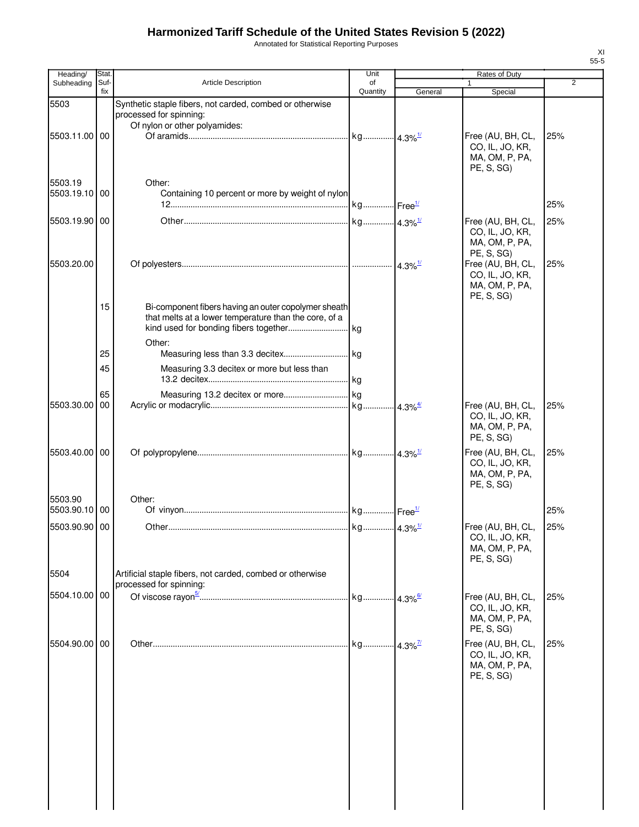Annotated for Statistical Reporting Purposes

| Heading/                 | Stat.       |                                                                                                                         | Unit           |         | Rates of Duty                                                        |                |
|--------------------------|-------------|-------------------------------------------------------------------------------------------------------------------------|----------------|---------|----------------------------------------------------------------------|----------------|
| Subheading               | Suf-<br>fix | Article Description                                                                                                     | of<br>Quantity | General | Special                                                              | $\overline{2}$ |
| 5503                     |             | Synthetic staple fibers, not carded, combed or otherwise<br>processed for spinning:                                     |                |         |                                                                      |                |
| 5503.11.00 00            |             | Of nylon or other polyamides:                                                                                           |                |         | Free (AU, BH, CL,<br>CO, IL, JO, KR,<br>MA, OM, P, PA,<br>PE, S, SG) | 25%            |
| 5503.19                  |             | Other:                                                                                                                  |                |         |                                                                      |                |
| 5503.19.10 00            |             | Containing 10 percent or more by weight of nylon                                                                        |                |         |                                                                      | 25%            |
| 5503.19.90 00            |             |                                                                                                                         |                |         | Free (AU, BH, CL,<br>CO, IL, JO, KR,<br>MA, OM, P, PA,<br>PE, S, SG) | 25%            |
| 5503.20.00               |             |                                                                                                                         |                |         | Free (AU, BH, CL,<br>CO, IL, JO, KR,<br>MA, OM, P, PA,<br>PE, S, SG) | 25%            |
|                          | 15          | Bi-component fibers having an outer copolymer sheath<br>that melts at a lower temperature than the core, of a<br>Other: |                |         |                                                                      |                |
|                          | 25          |                                                                                                                         |                |         |                                                                      |                |
|                          | 45          | Measuring 3.3 decitex or more but less than                                                                             |                |         |                                                                      |                |
|                          | 65          |                                                                                                                         |                |         |                                                                      |                |
| 5503.30.00               | 00          |                                                                                                                         |                |         | Free (AU, BH, CL,<br>CO, IL, JO, KR,<br>MA, OM, P, PA,<br>PE, S, SG) | 25%            |
| 5503.40.00 00            |             |                                                                                                                         |                |         | Free (AU, BH, CL,<br>CO, IL, JO, KR,<br>MA, OM, P, PA,<br>PE, S, SG  | 25%            |
| 5503.90<br>5503.90.10 00 |             | Other:                                                                                                                  |                |         |                                                                      | 25%            |
| 5503.90.90 00            |             |                                                                                                                         |                |         |                                                                      | 25%            |
|                          |             |                                                                                                                         |                |         | Free (AU, BH, CL,<br>CO, IL, JO, KR,<br>MA, OM, P, PA,<br>PE, S, SG  |                |
| 5504                     |             | Artificial staple fibers, not carded, combed or otherwise<br>processed for spinning:                                    |                |         |                                                                      |                |
| 5504.10.00 00            |             |                                                                                                                         |                |         | Free (AU, BH, CL,<br>CO, IL, JO, KR,<br>MA, OM, P, PA,<br>PE, S, SG) | 25%            |
| 5504.90.00 00            |             |                                                                                                                         |                |         | Free (AU, BH, CL,<br>CO, IL, JO, KR,<br>MA, OM, P, PA,<br>PE, S, SG) | 25%            |
|                          |             |                                                                                                                         |                |         |                                                                      |                |
|                          |             |                                                                                                                         |                |         |                                                                      |                |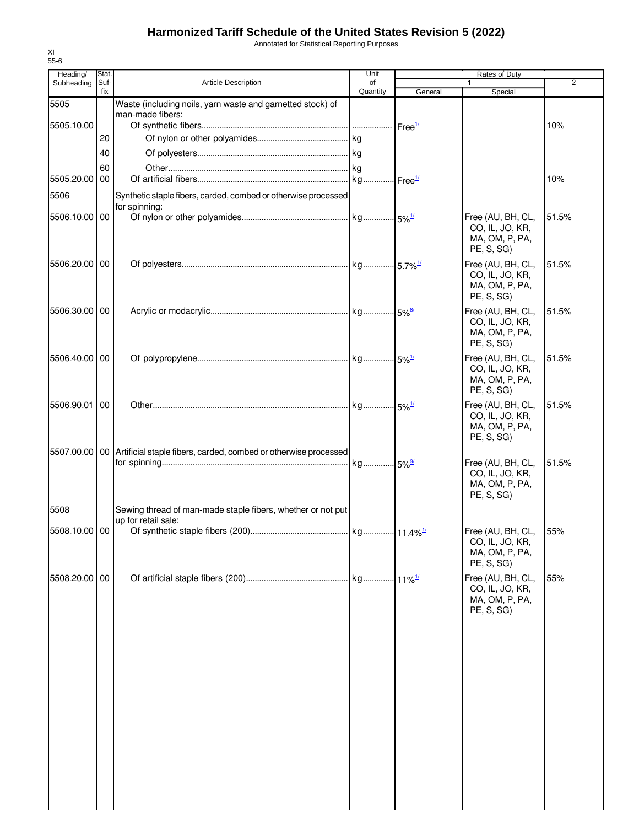Annotated for Statistical Reporting Purposes

| Heading/      | Stat.       |                                                                                 | Unit           |         | Rates of Duty                                                            |                |
|---------------|-------------|---------------------------------------------------------------------------------|----------------|---------|--------------------------------------------------------------------------|----------------|
| Subheading    | Suf-<br>fix | <b>Article Description</b>                                                      | of<br>Quantity | General | Special                                                                  | $\overline{2}$ |
| 5505          |             | Waste (including noils, yarn waste and garnetted stock) of                      |                |         |                                                                          |                |
|               |             | man-made fibers:                                                                |                |         |                                                                          |                |
| 5505.10.00    |             |                                                                                 |                |         |                                                                          | 10%            |
|               | 20          |                                                                                 |                |         |                                                                          |                |
|               | 40          |                                                                                 |                |         |                                                                          |                |
|               | 60          |                                                                                 |                |         |                                                                          |                |
| 5505.20.00    | 00          |                                                                                 |                |         |                                                                          | 10%            |
| 5506          |             | Synthetic staple fibers, carded, combed or otherwise processed                  |                |         |                                                                          |                |
| 5506.10.00 00 |             | for spinning:                                                                   |                |         | Free (AU, BH, CL,                                                        | 51.5%          |
|               |             |                                                                                 |                |         | CO, IL, JO, KR,<br>MA, OM, P, PA,<br>PE, S, SG)                          |                |
| 5506.20.00 00 |             |                                                                                 |                |         | Free (AU, BH, CL,                                                        | 51.5%          |
|               |             |                                                                                 |                |         | CO, IL, JO, KR,<br>MA, OM, P, PA,<br>PE, S, SG)                          |                |
| 5506.30.00 00 |             |                                                                                 |                |         | Free (AU, BH, CL,                                                        | 51.5%          |
|               |             |                                                                                 |                |         | CO, IL, JO, KR,<br>MA, OM, P, PA,<br>PE, S, SG)                          |                |
| 5506.40.00 00 |             |                                                                                 |                |         | Free (AU, BH, CL,                                                        | 51.5%          |
|               |             |                                                                                 |                |         | CO, IL, JO, KR,<br>MA, OM, P, PA,<br>PE, S, SG)                          |                |
| 5506.90.01 00 |             |                                                                                 |                |         | Free (AU, BH, CL,                                                        | 51.5%          |
|               |             |                                                                                 |                |         | CO, IL, JO, KR,<br>MA, OM, P, PA,<br>PE, S, SG)                          |                |
|               |             | 5507.00.00   00 Artificial staple fibers, carded, combed or otherwise processed |                |         |                                                                          |                |
|               |             |                                                                                 | kg 5%          |         | Free (AU, BH, CL,<br>CO, IL, JO, KR,<br>MA, OM, P, PA,<br>PE, S, SG)     | 51.5%          |
| 5508          |             | Sewing thread of man-made staple fibers, whether or not put                     |                |         |                                                                          |                |
|               |             | up for retail sale:                                                             |                |         |                                                                          |                |
| 5508.10.00 00 |             |                                                                                 |                |         | Free (AU, BH, CL, 55%<br>CO, IL, JO, KR,<br>MA, OM, P, PA,<br>PE, S, SG) |                |
| 5508.20.00 00 |             |                                                                                 |                |         | Free (AU, BH, CL,                                                        | 55%            |
|               |             |                                                                                 |                |         | CO, IL, JO, KR,<br>MA, OM, P, PA,<br>PE, S, SG)                          |                |
|               |             |                                                                                 |                |         |                                                                          |                |
|               |             |                                                                                 |                |         |                                                                          |                |
|               |             |                                                                                 |                |         |                                                                          |                |
|               |             |                                                                                 |                |         |                                                                          |                |
|               |             |                                                                                 |                |         |                                                                          |                |
|               |             |                                                                                 |                |         |                                                                          |                |
|               |             |                                                                                 |                |         |                                                                          |                |
|               |             |                                                                                 |                |         |                                                                          |                |
|               |             |                                                                                 |                |         |                                                                          |                |
|               |             |                                                                                 |                |         |                                                                          |                |
|               |             |                                                                                 |                |         |                                                                          |                |
|               |             |                                                                                 |                |         |                                                                          |                |
|               |             |                                                                                 |                |         |                                                                          |                |
|               |             |                                                                                 |                |         |                                                                          |                |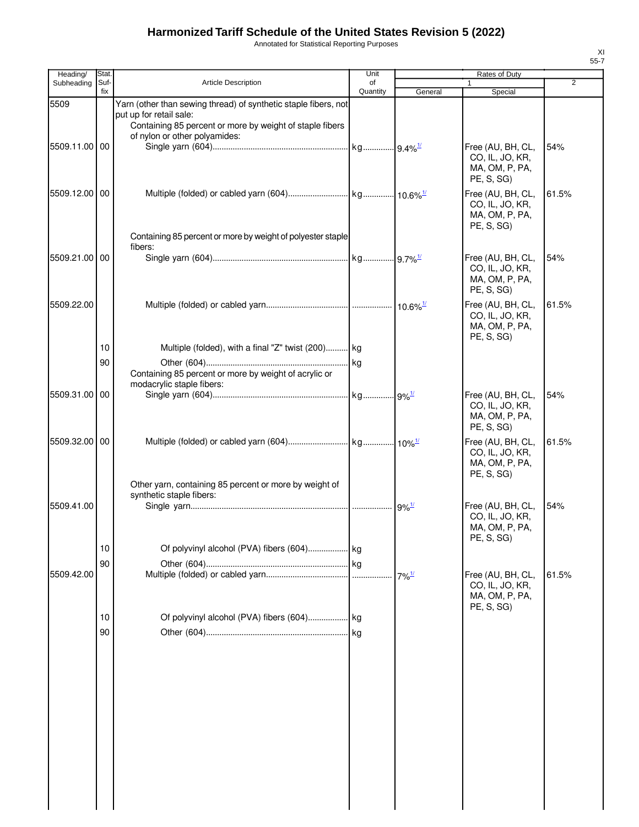Annotated for Statistical Reporting Purposes

| Heading/      | Stat.       |                                                                                     | Unit           |                      | Rates of Duty                                                        |                |
|---------------|-------------|-------------------------------------------------------------------------------------|----------------|----------------------|----------------------------------------------------------------------|----------------|
| Subheading    | Suf-<br>fix | <b>Article Description</b>                                                          | of<br>Quantity | General              | Special                                                              | $\overline{2}$ |
| 5509          |             | Yarn (other than sewing thread) of synthetic staple fibers, not                     |                |                      |                                                                      |                |
|               |             | put up for retail sale:<br>Containing 85 percent or more by weight of staple fibers |                |                      |                                                                      |                |
| 5509.11.00    | 00          | of nylon or other polyamides:                                                       |                |                      | Free (AU, BH, CL,<br>CO, IL, JO, KR,                                 | 54%            |
|               |             |                                                                                     |                |                      | MA, OM, P, PA,<br>PE, S, SG)                                         |                |
| 5509.12.00 00 |             |                                                                                     |                |                      | Free (AU, BH, CL,<br>CO, IL, JO, KR,<br>MA, OM, P, PA,<br>PE, S, SG) | 61.5%          |
|               |             | Containing 85 percent or more by weight of polyester staple<br>fibers:              |                |                      |                                                                      |                |
| 5509.21.00 00 |             |                                                                                     |                |                      | Free (AU, BH, CL,<br>CO, IL, JO, KR,<br>MA, OM, P, PA,<br>PE, S, SG) | 54%            |
| 5509.22.00    |             |                                                                                     |                |                      | Free (AU, BH, CL,<br>CO, IL, JO, KR,<br>MA, OM, P, PA,<br>PE, S, SG) | 61.5%          |
|               | 10          | Multiple (folded), with a final "Z" twist (200) kg                                  |                |                      |                                                                      |                |
|               | 90          |                                                                                     |                |                      |                                                                      |                |
|               |             | Containing 85 percent or more by weight of acrylic or<br>modacrylic staple fibers:  |                |                      |                                                                      |                |
| 5509.31.00    | 00          |                                                                                     |                |                      | Free (AU, BH, CL,                                                    | 54%            |
|               |             |                                                                                     |                |                      | CO, IL, JO, KR,<br>MA, OM, P, PA,<br>PE, S, SG)                      |                |
| 5509.32.00 00 |             |                                                                                     |                |                      | Free (AU, BH, CL,<br>CO, IL, JO, KR,<br>MA, OM, P, PA,<br>PE, S, SG) | 61.5%          |
|               |             | Other yarn, containing 85 percent or more by weight of<br>synthetic staple fibers:  |                |                      |                                                                      |                |
| 5509.41.00    |             |                                                                                     |                | $.9\%$ <sup>1/</sup> | Free (AU, BH, CL,<br>CO, IL, JO, KR,<br>MA, OM, P, PA,<br>PE, S, SG) | 54%            |
|               | 10          |                                                                                     |                |                      |                                                                      |                |
|               | 90          |                                                                                     |                |                      |                                                                      |                |
| 5509.42.00    |             |                                                                                     |                | $7\%$ <sup>1/</sup>  | Free (AU, BH, CL,<br>CO, IL, JO, KR,<br>MA, OM, P, PA,<br>PE, S, SG) | 61.5%          |
|               | 10          |                                                                                     |                |                      |                                                                      |                |
|               | 90          |                                                                                     |                |                      |                                                                      |                |
|               |             |                                                                                     |                |                      |                                                                      |                |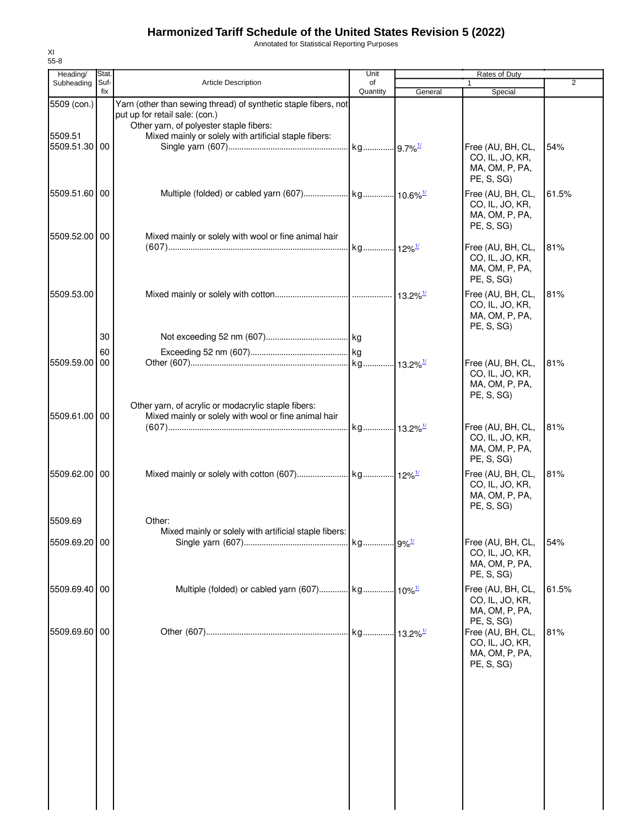Annotated for Statistical Reporting Purposes

| Heading/                                | Stat.       |                                                                                                                                                                                                       | Unit           |         | Rates of Duty                                                                      |       |
|-----------------------------------------|-------------|-------------------------------------------------------------------------------------------------------------------------------------------------------------------------------------------------------|----------------|---------|------------------------------------------------------------------------------------|-------|
| Subheading                              | Suf-<br>fix | <b>Article Description</b>                                                                                                                                                                            | of<br>Quantity | General | 1<br>Special                                                                       | 2     |
| 5509 (con.)<br>5509.51<br>5509.51.30 00 |             | Yarn (other than sewing thread) of synthetic staple fibers, not<br>put up for retail sale: (con.)<br>Other yarn, of polyester staple fibers:<br>Mixed mainly or solely with artificial staple fibers: |                |         | Free (AU, BH, CL,<br>CO, IL, JO, KR,<br>MA, OM, P, PA,                             | 54%   |
| 5509.51.60 00                           |             |                                                                                                                                                                                                       |                |         | PE, S, SG)<br>Free (AU, BH, CL,<br>CO, IL, JO, KR,<br>MA, OM, P, PA,<br>PE, S, SG) | 61.5% |
| 5509.52.00 00                           |             | Mixed mainly or solely with wool or fine animal hair                                                                                                                                                  |                |         | Free (AU, BH, CL,<br>CO, IL, JO, KR,<br>MA, OM, P, PA,<br>PE, S, SG)               | 81%   |
| 5509.53.00                              |             |                                                                                                                                                                                                       |                |         | Free (AU, BH, CL,<br>CO, IL, JO, KR,<br>MA, OM, P, PA,<br>PE, S, SG                | 81%   |
|                                         | 30          |                                                                                                                                                                                                       |                |         |                                                                                    |       |
|                                         | 60          |                                                                                                                                                                                                       |                |         |                                                                                    |       |
| 5509.59.00                              | 00          |                                                                                                                                                                                                       |                |         | Free (AU, BH, CL,<br>CO, IL, JO, KR,<br>MA, OM, P, PA,<br>PE, S, SG)               | 81%   |
| 5509.61.00 00                           |             | Other yarn, of acrylic or modacrylic staple fibers:<br>Mixed mainly or solely with wool or fine animal hair                                                                                           |                |         | Free (AU, BH, CL,<br>CO, IL, JO, KR,<br>MA, OM, P, PA,<br>PE, S, SG)               | 81%   |
| 5509.62.00 00                           |             |                                                                                                                                                                                                       |                |         | Free (AU, BH, CL,<br>CO, IL, JO, KR,<br>MA, OM, P, PA,<br>PE, S, SG)               | 81%   |
| 5509.69                                 |             | Other:                                                                                                                                                                                                |                |         |                                                                                    |       |
| 5509.69.20 00                           |             | Mixed mainly or solely with artificial staple fibers:                                                                                                                                                 |                |         | Free (AU, BH, CL,<br>CO, IL, JO, KR,<br>MA, OM, P, PA,<br>PE, S, SG)               | 54%   |
| 5509.69.40 00                           |             |                                                                                                                                                                                                       |                |         | Free (AU, BH, CL,<br>CO, IL, JO, KR,<br>MA, OM, P, PA,<br>PE, S, SG)               | 61.5% |
| 5509.69.60 00                           |             |                                                                                                                                                                                                       |                |         | Free (AU, BH, CL,<br>CO, IL, JO, KR,<br>MA, OM, P, PA,<br>PE, S, SG)               | 81%   |
|                                         |             |                                                                                                                                                                                                       |                |         |                                                                                    |       |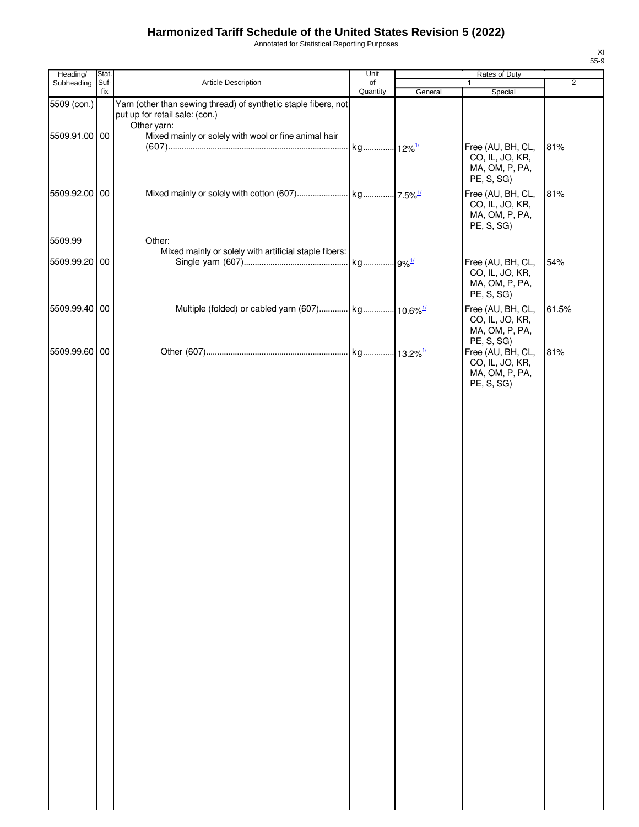Annotated for Statistical Reporting Purposes

| Heading/      | Stat.       |                                                                                                   | Unit                 |         | Rates of Duty                                                        |                |
|---------------|-------------|---------------------------------------------------------------------------------------------------|----------------------|---------|----------------------------------------------------------------------|----------------|
| Subheading    | Suf-<br>fix | Article Description                                                                               | of<br>Quantity       | General | $\mathbf{1}$<br>Special                                              | $\overline{2}$ |
| 5509 (con.)   |             | Yarn (other than sewing thread) of synthetic staple fibers, not<br>put up for retail sale: (con.) |                      |         |                                                                      |                |
| 5509.91.00 00 |             | Other yarn:<br>Mixed mainly or solely with wool or fine animal hair                               | kg 12% <sup>1/</sup> |         | Free (AU, BH, CL,<br>CO, IL, JO, KR,<br>MA, OM, P, PA,<br>PE, S, SG) | 81%            |
| 5509.92.00 00 |             |                                                                                                   |                      |         | Free (AU, BH, CL,<br>CO, IL, JO, KR,<br>MA, OM, P, PA,<br>PE, S, SG) | 81%            |
| 5509.99       |             | Other:                                                                                            |                      |         |                                                                      |                |
| 5509.99.20 00 |             | Mixed mainly or solely with artificial staple fibers:                                             |                      |         | Free (AU, BH, CL,<br>CO, IL, JO, KR,<br>MA, OM, P, PA,<br>PE, S, SG) | 54%            |
| 5509.99.40 00 |             | Multiple (folded) or cabled yarn (607) kg 10.6% <sup>1/</sup>                                     |                      |         | Free (AU, BH, CL,<br>CO, IL, JO, KR,<br>MA, OM, P, PA,<br>PE, S, SG) | 61.5%          |
| 5509.99.60 00 |             |                                                                                                   |                      |         | Free (AU, BH, CL,<br>CO, IL, JO, KR,<br>MA, OM, P, PA,<br>PE, S, SG) | 81%            |
|               |             |                                                                                                   |                      |         |                                                                      |                |
|               |             |                                                                                                   |                      |         |                                                                      |                |
|               |             |                                                                                                   |                      |         |                                                                      |                |
|               |             |                                                                                                   |                      |         |                                                                      |                |
|               |             |                                                                                                   |                      |         |                                                                      |                |
|               |             |                                                                                                   |                      |         |                                                                      |                |
|               |             |                                                                                                   |                      |         |                                                                      |                |
|               |             |                                                                                                   |                      |         |                                                                      |                |
|               |             |                                                                                                   |                      |         |                                                                      |                |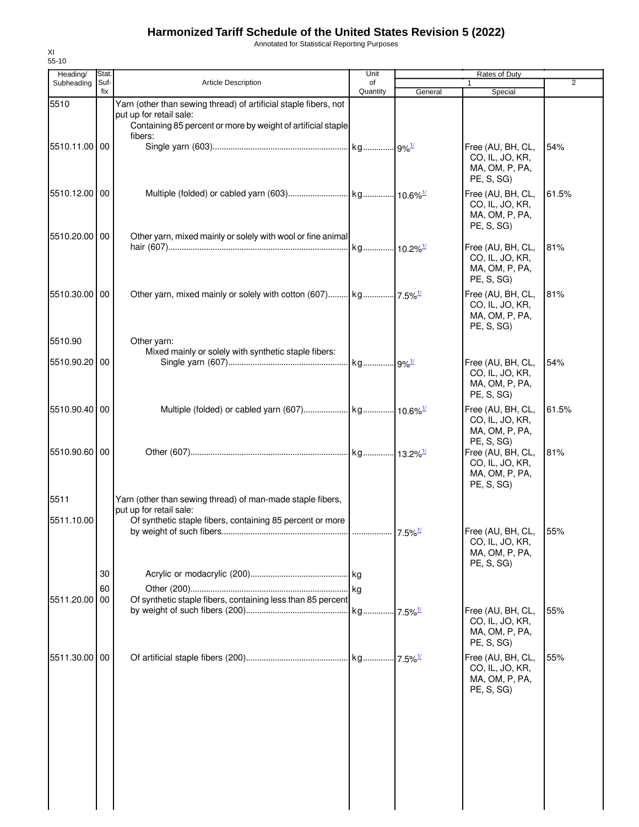Annotated for Statistical Reporting Purposes

| Heading/      | Stat.       |                                                                                                                                                             | Unit           |         | Rates of Duty                                                        |                |
|---------------|-------------|-------------------------------------------------------------------------------------------------------------------------------------------------------------|----------------|---------|----------------------------------------------------------------------|----------------|
| Subheading    | Suf-<br>fix | <b>Article Description</b>                                                                                                                                  | of<br>Quantity | General | Special                                                              | $\overline{2}$ |
| 5510          |             | Yarn (other than sewing thread) of artificial staple fibers, not<br>put up for retail sale:<br>Containing 85 percent or more by weight of artificial staple |                |         |                                                                      |                |
| 5510.11.00 00 |             | fibers:                                                                                                                                                     |                |         | Free (AU, BH, CL,<br>CO, IL, JO, KR,<br>MA, OM, P, PA,<br>PE, S, SG  | 54%            |
| 5510.12.00 00 |             |                                                                                                                                                             |                |         | Free (AU, BH, CL,<br>CO, IL, JO, KR,<br>MA, OM, P, PA,<br>PE, S, SG) | 61.5%          |
| 5510.20.00 00 |             | Other yarn, mixed mainly or solely with wool or fine animal                                                                                                 |                |         | Free (AU, BH, CL,<br>CO, IL, JO, KR,<br>MA, OM, P, PA,<br>PE, S, SG) | 81%            |
| 5510.30.00 00 |             |                                                                                                                                                             |                |         | Free (AU, BH, CL,<br>CO, IL, JO, KR,<br>MA, OM, P, PA,<br>PE, S, SG) | 81%            |
| 5510.90       |             | Other yarn:<br>Mixed mainly or solely with synthetic staple fibers:                                                                                         |                |         |                                                                      |                |
| 5510.90.20 00 |             |                                                                                                                                                             |                |         | Free (AU, BH, CL,<br>CO, IL, JO, KR,<br>MA, OM, P, PA,<br>PE, S, SG) | 54%            |
| 5510.90.40 00 |             |                                                                                                                                                             |                |         | Free (AU, BH, CL,<br>CO, IL, JO, KR,<br>MA, OM, P, PA,<br>PE, S, SG) | 61.5%          |
| 5510.90.60 00 |             |                                                                                                                                                             |                |         | Free (AU, BH, CL,<br>CO, IL, JO, KR,<br>MA, OM, P, PA,<br>PE, S, SG) | 81%            |
| 5511          |             | Yarn (other than sewing thread) of man-made staple fibers,<br>put up for retail sale:                                                                       |                |         |                                                                      |                |
| 5511.10.00    |             | Of synthetic staple fibers, containing 85 percent or more                                                                                                   |                |         | Free (AU, BH, CL, 55%<br>CO, IL, JO, KR,<br>MA, OM, P, PA,           |                |
|               |             |                                                                                                                                                             |                |         | PE, S, SG)                                                           |                |
|               | 30          |                                                                                                                                                             |                |         |                                                                      |                |
| 5511.20.00 00 | 60          | Of synthetic staple fibers, containing less than 85 percent                                                                                                 |                |         |                                                                      |                |
|               |             |                                                                                                                                                             |                |         | Free (AU, BH, CL,<br>CO, IL, JO, KR,<br>MA, OM, P, PA,<br>PE, S, SG) | 55%            |
| 5511.30.00 00 |             |                                                                                                                                                             |                |         | Free (AU, BH, CL,<br>CO, IL, JO, KR,<br>MA, OM, P, PA,<br>PE, S, SG) | 55%            |
|               |             |                                                                                                                                                             |                |         |                                                                      |                |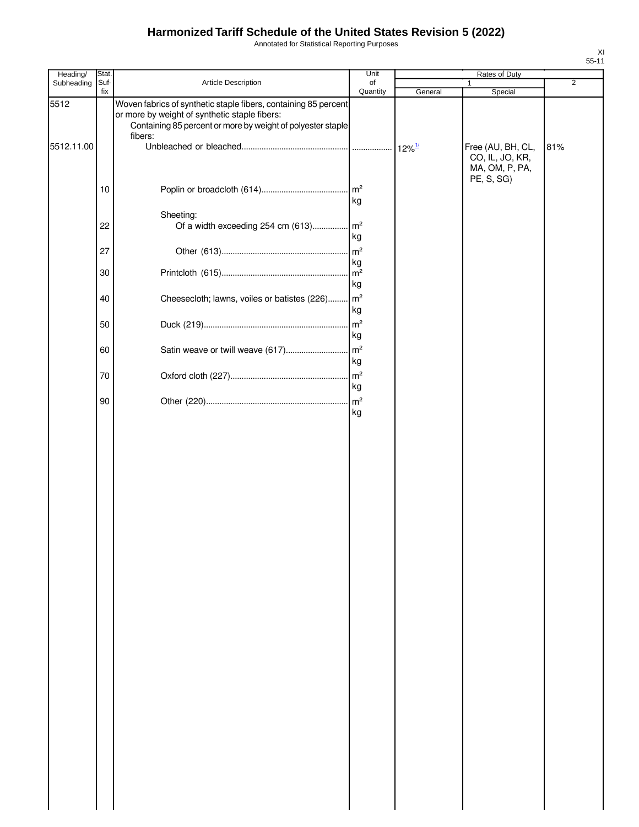Annotated for Statistical Reporting Purposes

| Heading/   | Stat.       |                                                                                                                                                                                            | Unit                 |                      | Rates of Duty                                                        |                |
|------------|-------------|--------------------------------------------------------------------------------------------------------------------------------------------------------------------------------------------|----------------------|----------------------|----------------------------------------------------------------------|----------------|
| Subheading | Suf-<br>fix | Article Description                                                                                                                                                                        | of<br>Quantity       | General              | 1<br>Special                                                         | $\overline{2}$ |
| 5512       |             | Woven fabrics of synthetic staple fibers, containing 85 percent<br>or more by weight of synthetic staple fibers:<br>Containing 85 percent or more by weight of polyester staple<br>fibers: |                      |                      |                                                                      |                |
| 5512.11.00 |             |                                                                                                                                                                                            |                      | $12\%$ <sup>1/</sup> | Free (AU, BH, CL,<br>CO, IL, JO, KR,<br>MA, OM, P, PA,<br>PE, S, SG) | 81%            |
|            | 10          |                                                                                                                                                                                            | m <sup>2</sup><br>kg |                      |                                                                      |                |
|            | 22          | Sheeting:<br>Of a width exceeding 254 cm (613) m <sup>2</sup>                                                                                                                              | kg                   |                      |                                                                      |                |
|            | 27          |                                                                                                                                                                                            | m <sup>2</sup><br>kg |                      |                                                                      |                |
|            | 30          |                                                                                                                                                                                            | kg                   |                      |                                                                      |                |
|            | 40          | Cheesecloth; lawns, voiles or batistes (226)                                                                                                                                               | m <sup>2</sup><br>kg |                      |                                                                      |                |
|            | 50          |                                                                                                                                                                                            | m <sup>2</sup><br>kg |                      |                                                                      |                |
|            | 60<br>70    |                                                                                                                                                                                            | kg                   |                      |                                                                      |                |
|            | 90          |                                                                                                                                                                                            | kg                   |                      |                                                                      |                |
|            |             |                                                                                                                                                                                            | kg                   |                      |                                                                      |                |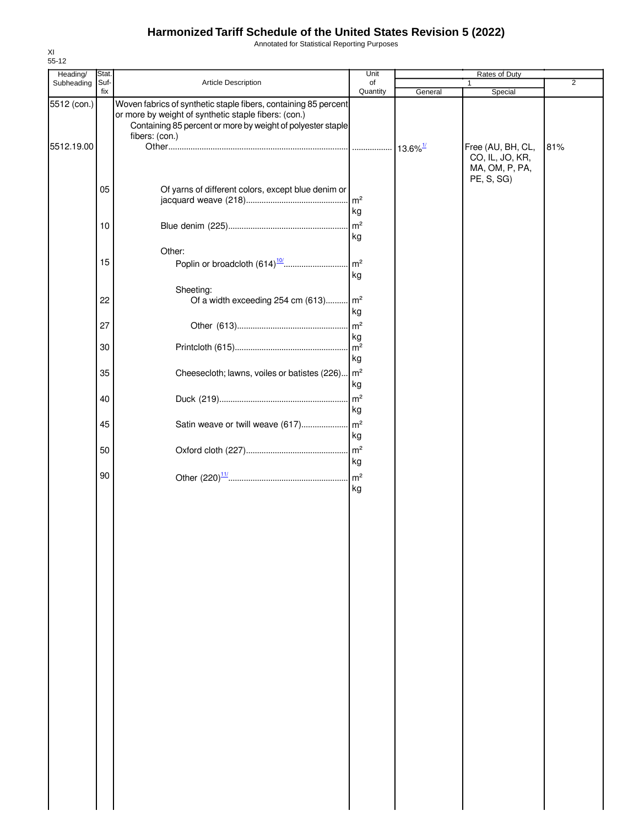Annotated for Statistical Reporting Purposes

| Heading/    | Stat.    |                                                                                                                                                                                                          | Unit     |         | Rates of Duty                                                        |                |
|-------------|----------|----------------------------------------------------------------------------------------------------------------------------------------------------------------------------------------------------------|----------|---------|----------------------------------------------------------------------|----------------|
| Subheading  | Suf-     | Article Description                                                                                                                                                                                      | of       |         |                                                                      | $\overline{2}$ |
| 5512 (con.) | fix      | Woven fabrics of synthetic staple fibers, containing 85 percent<br>or more by weight of synthetic staple fibers: (con.)<br>Containing 85 percent or more by weight of polyester staple<br>fibers: (con.) | Quantity | General | Special                                                              |                |
| 5512.19.00  |          |                                                                                                                                                                                                          |          |         | Free (AU, BH, CL,<br>CO, IL, JO, KR,<br>MA, OM, P, PA,<br>PE, S, SG) | 81%            |
|             | 05       | Of yarns of different colors, except blue denim or                                                                                                                                                       | kg       |         |                                                                      |                |
|             | 10       |                                                                                                                                                                                                          | kg       |         |                                                                      |                |
|             | 15       | Other:                                                                                                                                                                                                   | kg       |         |                                                                      |                |
|             | 22       | Sheeting:<br>Of a width exceeding 254 cm (613) m <sup>2</sup>                                                                                                                                            |          |         |                                                                      |                |
|             | 27       |                                                                                                                                                                                                          | kg<br>kg |         |                                                                      |                |
|             | 30       |                                                                                                                                                                                                          | kg       |         |                                                                      |                |
|             | 35<br>40 | Cheesecloth; lawns, voiles or batistes (226) m <sup>2</sup>                                                                                                                                              | kg       |         |                                                                      |                |
|             | 45       |                                                                                                                                                                                                          | kg       |         |                                                                      |                |
|             | 50       |                                                                                                                                                                                                          | kg       |         |                                                                      |                |
|             | 90       |                                                                                                                                                                                                          | kg<br>kg |         |                                                                      |                |
|             |          |                                                                                                                                                                                                          |          |         |                                                                      |                |
|             |          |                                                                                                                                                                                                          |          |         |                                                                      |                |
|             |          |                                                                                                                                                                                                          |          |         |                                                                      |                |
|             |          |                                                                                                                                                                                                          |          |         |                                                                      |                |
|             |          |                                                                                                                                                                                                          |          |         |                                                                      |                |
|             |          |                                                                                                                                                                                                          |          |         |                                                                      |                |
|             |          |                                                                                                                                                                                                          |          |         |                                                                      |                |
|             |          |                                                                                                                                                                                                          |          |         |                                                                      |                |
|             |          |                                                                                                                                                                                                          |          |         |                                                                      |                |
|             |          |                                                                                                                                                                                                          |          |         |                                                                      |                |
|             |          |                                                                                                                                                                                                          |          |         |                                                                      |                |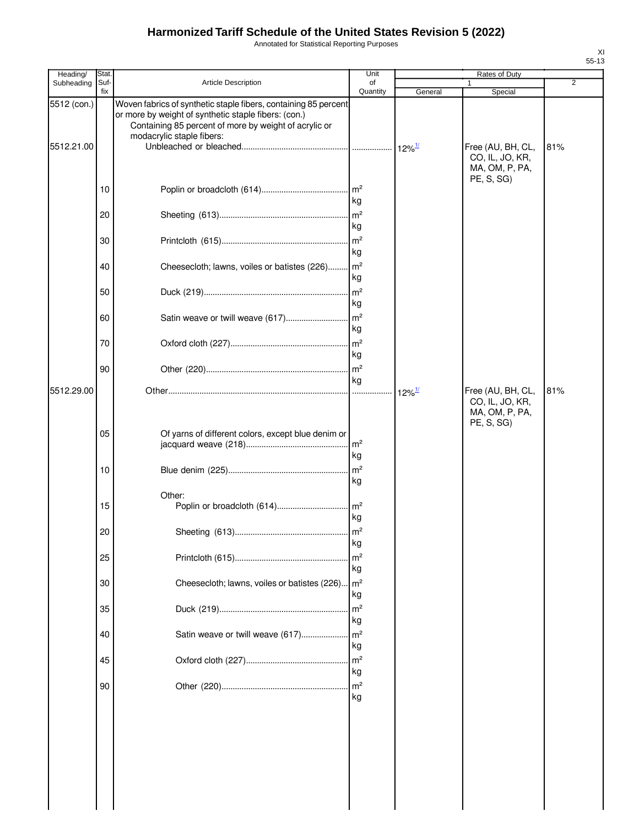Annotated for Statistical Reporting Purposes

| Heading/                  | <b>Stat</b> |                                                                                                                                                                                                               | Unit                 |                      | Rates of Duty                                                        |                |
|---------------------------|-------------|---------------------------------------------------------------------------------------------------------------------------------------------------------------------------------------------------------------|----------------------|----------------------|----------------------------------------------------------------------|----------------|
| Subheading                | Suf-<br>fix | <b>Article Description</b>                                                                                                                                                                                    | of<br>Quantity       | General              | Special                                                              | $\overline{2}$ |
| 5512 (con.)<br>5512.21.00 |             | Woven fabrics of synthetic staple fibers, containing 85 percent<br>or more by weight of synthetic staple fibers: (con.)<br>Containing 85 percent of more by weight of acrylic or<br>modacrylic staple fibers: |                      |                      | Free (AU, BH, CL,<br>CO, IL, JO, KR,<br>MA, OM, P, PA,               | 81%            |
|                           | 10          |                                                                                                                                                                                                               | kg                   |                      | PE, S, SG)                                                           |                |
|                           | 20          |                                                                                                                                                                                                               | kg                   |                      |                                                                      |                |
|                           | 30          |                                                                                                                                                                                                               | kg                   |                      |                                                                      |                |
|                           | 40          | Cheesecloth; lawns, voiles or batistes (226)                                                                                                                                                                  | $\mathsf{m}^2$<br>kg |                      |                                                                      |                |
|                           | 50          |                                                                                                                                                                                                               | m <sup>2</sup><br>kg |                      |                                                                      |                |
|                           | 60          |                                                                                                                                                                                                               | kg                   |                      |                                                                      |                |
|                           | 70          |                                                                                                                                                                                                               | kg                   |                      |                                                                      |                |
|                           | 90          |                                                                                                                                                                                                               | kg                   |                      |                                                                      |                |
| 5512.29.00                |             |                                                                                                                                                                                                               |                      | $12\%$ <sup>1/</sup> | Free (AU, BH, CL,<br>CO, IL, JO, KR,<br>MA, OM, P, PA,<br>PE, S, SG) | 81%            |
|                           | 05          | Of yarns of different colors, except blue denim or                                                                                                                                                            | kg                   |                      |                                                                      |                |
|                           | 10          |                                                                                                                                                                                                               | kg                   |                      |                                                                      |                |
|                           | 15          | Other:                                                                                                                                                                                                        | kg                   |                      |                                                                      |                |
|                           | 20          |                                                                                                                                                                                                               | kg                   |                      |                                                                      |                |
|                           | 25          |                                                                                                                                                                                                               | m <sup>2</sup><br>kg |                      |                                                                      |                |
|                           | 30          | Cheesecloth; lawns, voiles or batistes (226)                                                                                                                                                                  | m <sup>2</sup><br>kg |                      |                                                                      |                |
|                           | 35          |                                                                                                                                                                                                               | m <sup>2</sup><br>kg |                      |                                                                      |                |
|                           | 40          | Satin weave or twill weave (617)                                                                                                                                                                              | m <sup>2</sup><br>kg |                      |                                                                      |                |
|                           | 45          |                                                                                                                                                                                                               | m <sup>2</sup><br>kg |                      |                                                                      |                |
|                           | 90          |                                                                                                                                                                                                               | m <sup>2</sup><br>kg |                      |                                                                      |                |
|                           |             |                                                                                                                                                                                                               |                      |                      |                                                                      |                |
|                           |             |                                                                                                                                                                                                               |                      |                      |                                                                      |                |
|                           |             |                                                                                                                                                                                                               |                      |                      |                                                                      |                |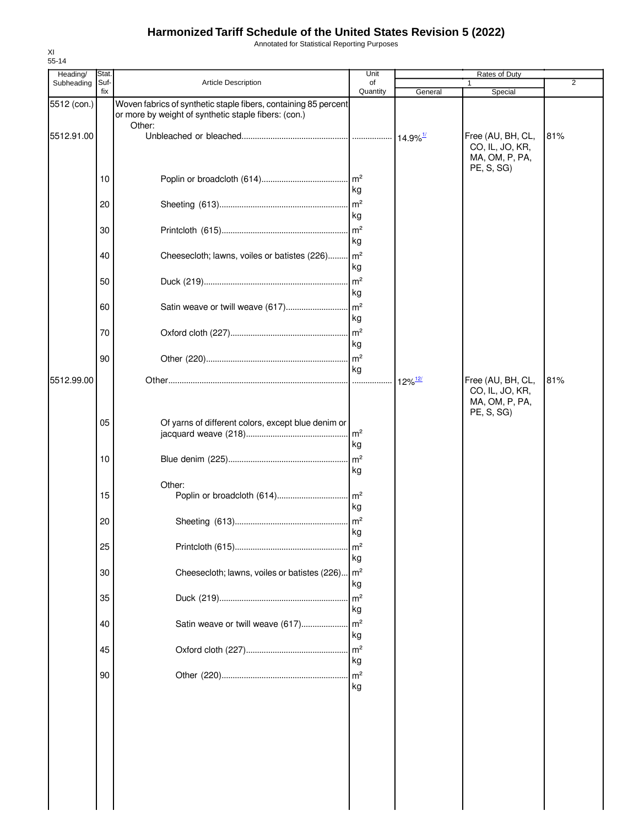Annotated for Statistical Reporting Purposes

| Heading/    | Stat.       |                                                                                                                         | Unit                       |                                | Rates of Duty                                          |     |
|-------------|-------------|-------------------------------------------------------------------------------------------------------------------------|----------------------------|--------------------------------|--------------------------------------------------------|-----|
| Subheading  | Suf-<br>fix | Article Description                                                                                                     | of<br>Quantity             | General                        | Special                                                | 2   |
| 5512 (con.) |             | Woven fabrics of synthetic staple fibers, containing 85 percent<br>or more by weight of synthetic staple fibers: (con.) |                            |                                |                                                        |     |
| 5512.91.00  |             | Other:                                                                                                                  |                            | $\cdot$ 14.9% $^{\rm 1\prime}$ | Free (AU, BH, CL,<br>CO, IL, JO, KR,<br>MA, OM, P, PA, | 81% |
|             | 10          |                                                                                                                         | kg                         |                                | PE, S, SG)                                             |     |
|             | 20          |                                                                                                                         | $\mathsf{Im}^2$<br>kg      |                                |                                                        |     |
|             | 30          |                                                                                                                         | m <sup>2</sup><br>kg       |                                |                                                        |     |
|             | 40          | Cheesecloth; lawns, voiles or batistes (226)                                                                            | $\mathsf{Im}^2$<br>kg      |                                |                                                        |     |
|             | 50          |                                                                                                                         | $\mathsf{Im}^2$<br>kg      |                                |                                                        |     |
|             | 60          | Satin weave or twill weave (617)                                                                                        | $\mathsf{Im}^2$<br>kg      |                                |                                                        |     |
|             | 70          |                                                                                                                         | $\mathsf{m}^2$<br>kg       |                                |                                                        |     |
| 5512.99.00  | 90          |                                                                                                                         | m <sup>2</sup><br>kg<br>.  |                                | Free (AU, BH, CL,                                      | 81% |
|             | 05          | Of yarns of different colors, except blue denim or                                                                      | m <sup>2</sup>             | $12\%$ <sup>12/</sup>          | CO, IL, JO, KR,<br>MA, OM, P, PA,<br>PE, S, SG)        |     |
|             | 10          |                                                                                                                         | kg<br>m <sup>2</sup><br>kg |                                |                                                        |     |
|             | 15          | Other:<br>Poplin or broadcloth (614)                                                                                    | $\mathsf{Im}^2$<br>kg      |                                |                                                        |     |
|             | 20          |                                                                                                                         | $\mathsf{m}^2$<br>kg       |                                |                                                        |     |
|             | 25          |                                                                                                                         | m <sup>2</sup><br>kg       |                                |                                                        |     |
|             | 30          | Cheesecloth; lawns, voiles or batistes (226)                                                                            | $\mathsf{Im}^2$<br>kg      |                                |                                                        |     |
|             | 35          |                                                                                                                         | m <sup>2</sup><br>kg       |                                |                                                        |     |
|             | 40          | Satin weave or twill weave (617)                                                                                        | m <sup>2</sup><br>kg       |                                |                                                        |     |
|             | 45          |                                                                                                                         | m <sup>2</sup><br>kg       |                                |                                                        |     |
|             | 90          |                                                                                                                         | m <sup>2</sup><br>kg       |                                |                                                        |     |
|             |             |                                                                                                                         |                            |                                |                                                        |     |
|             |             |                                                                                                                         |                            |                                |                                                        |     |
|             |             |                                                                                                                         |                            |                                |                                                        |     |
|             |             |                                                                                                                         |                            |                                |                                                        |     |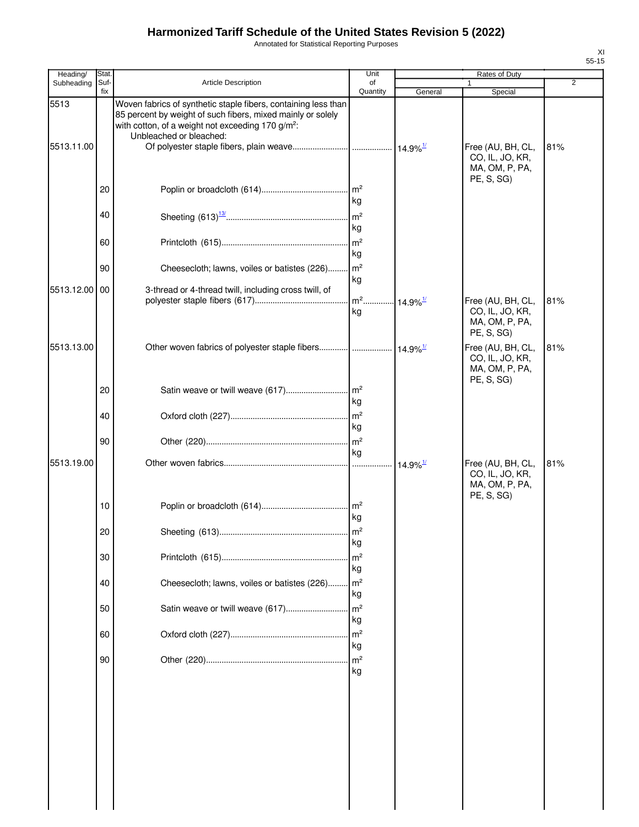Annotated for Statistical Reporting Purposes

| Heading/           | Stat.       |                                                                                                                                                                                                                           | Unit                                     |                        | Rates of Duty                                                        |     |
|--------------------|-------------|---------------------------------------------------------------------------------------------------------------------------------------------------------------------------------------------------------------------------|------------------------------------------|------------------------|----------------------------------------------------------------------|-----|
| Subheading         | Suf-<br>fix | <b>Article Description</b>                                                                                                                                                                                                | of<br>Quantity                           | General                | 1<br>Special                                                         | 2   |
| 5513<br>5513.11.00 |             | Woven fabrics of synthetic staple fibers, containing less than<br>85 percent by weight of such fibers, mixed mainly or solely<br>with cotton, of a weight not exceeding 170 g/m <sup>2</sup> :<br>Unbleached or bleached: |                                          |                        | Free (AU, BH, CL,<br>CO, IL, JO, KR,<br>MA, OM, P, PA,<br>PE, S, SG) | 81% |
|                    | 20          |                                                                                                                                                                                                                           | $\mathsf{Im}^2$<br>kg                    |                        |                                                                      |     |
|                    | 40          |                                                                                                                                                                                                                           | kg                                       |                        |                                                                      |     |
|                    | 60          |                                                                                                                                                                                                                           | m <sup>2</sup><br>kg                     |                        |                                                                      |     |
|                    | 90          | Cheesecloth; lawns, voiles or batistes (226)                                                                                                                                                                              | m <sup>2</sup><br>kg                     |                        |                                                                      |     |
| 5513.12.00 00      |             | 3-thread or 4-thread twill, including cross twill, of                                                                                                                                                                     | m <sup>2</sup> 14.9% <sup>1/</sup><br>kg |                        | Free (AU, BH, CL,<br>CO, IL, JO, KR,<br>MA, OM, P, PA,               | 81% |
| 5513.13.00         |             | Other woven fabrics of polyester staple fibers  14.9% <sup>1/</sup>                                                                                                                                                       |                                          |                        | PE, S, SG)<br>Free (AU, BH, CL,<br>CO, IL, JO, KR,<br>MA, OM, P, PA, | 81% |
|                    | 20          | Satin weave or twill weave (617)                                                                                                                                                                                          | $\mathsf{Im}^2$<br>kg                    |                        | PE, S, SG)                                                           |     |
|                    | 40          |                                                                                                                                                                                                                           | $\mathsf{Im}^2$<br>kg                    |                        |                                                                      |     |
|                    | 90          |                                                                                                                                                                                                                           | $\mathsf{Im}^2$<br>kg                    |                        |                                                                      |     |
| 5513.19.00         |             |                                                                                                                                                                                                                           |                                          | $14.9\%$ <sup>1/</sup> | Free (AU, BH, CL,<br>CO, IL, JO, KR,<br>MA, OM, P, PA,<br>PE, S, SG) | 81% |
|                    | 10          |                                                                                                                                                                                                                           | $\mathsf{Im}^2$<br>kg                    |                        |                                                                      |     |
|                    | 20          |                                                                                                                                                                                                                           | kg                                       |                        |                                                                      |     |
|                    | 30          |                                                                                                                                                                                                                           | m <sup>2</sup><br>kg                     |                        |                                                                      |     |
|                    | 40          | Cheesecloth; lawns, voiles or batistes (226)                                                                                                                                                                              | $\mathsf{Im}^2$<br>kg                    |                        |                                                                      |     |
|                    | 50          | Satin weave or twill weave (617)                                                                                                                                                                                          | m <sup>2</sup><br>kg<br>m <sup>2</sup>   |                        |                                                                      |     |
|                    | 60          |                                                                                                                                                                                                                           | kg                                       |                        |                                                                      |     |
|                    | 90          |                                                                                                                                                                                                                           | m <sup>2</sup><br>kg                     |                        |                                                                      |     |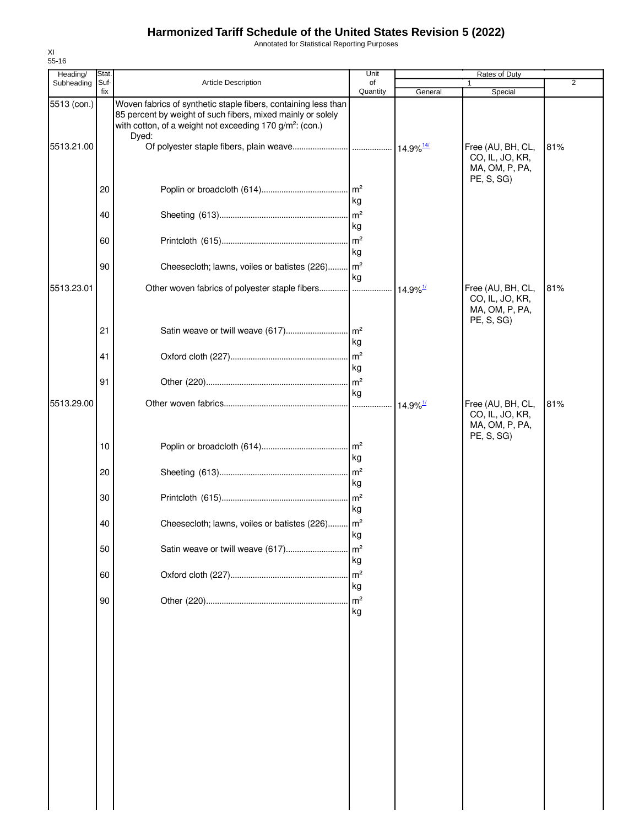Annotated for Statistical Reporting Purposes

| Heading/    | Stat.       |                                                                                                                                                                                                                | Unit                  |                        | Rates of Duty                                                        |                |
|-------------|-------------|----------------------------------------------------------------------------------------------------------------------------------------------------------------------------------------------------------------|-----------------------|------------------------|----------------------------------------------------------------------|----------------|
| Subheading  | Suf-<br>fix | Article Description                                                                                                                                                                                            | of<br>Quantity        | General                | Special                                                              | $\overline{c}$ |
| 5513 (con.) |             | Woven fabrics of synthetic staple fibers, containing less than<br>85 percent by weight of such fibers, mixed mainly or solely<br>with cotton, of a weight not exceeding 170 g/m <sup>2</sup> : (con.)<br>Dyed: |                       |                        |                                                                      |                |
| 5513.21.00  |             |                                                                                                                                                                                                                |                       |                        | Free (AU, BH, CL,<br>CO, IL, JO, KR,<br>MA, OM, P, PA,<br>PE, S, SG) | 81%            |
|             | 20          |                                                                                                                                                                                                                | $\mathsf{Im}^2$<br>kg |                        |                                                                      |                |
|             | 40          |                                                                                                                                                                                                                | kg                    |                        |                                                                      |                |
|             | 60          |                                                                                                                                                                                                                | $\mathsf{Im}^2$<br>kg |                        |                                                                      |                |
|             | 90          | Cheesecloth; lawns, voiles or batistes (226) m <sup>2</sup>                                                                                                                                                    | kg                    |                        |                                                                      |                |
| 5513.23.01  |             |                                                                                                                                                                                                                |                       | $14.9\%$ <sup>1/</sup> | Free (AU, BH, CL,<br>CO, IL, JO, KR,<br>MA, OM, P, PA,<br>PE, S, SG  | 81%            |
|             | 21          |                                                                                                                                                                                                                | kg                    |                        |                                                                      |                |
|             | 41          |                                                                                                                                                                                                                | kg                    |                        |                                                                      |                |
|             | 91          |                                                                                                                                                                                                                | $\mathsf{m}^2$<br>kg  |                        |                                                                      |                |
| 5513.29.00  |             |                                                                                                                                                                                                                |                       | $14.9\%$ <sup>1/</sup> | Free (AU, BH, CL,<br>CO, IL, JO, KR,<br>MA, OM, P, PA,<br>PE, S, SG) | 81%            |
|             | 10          |                                                                                                                                                                                                                | kg                    |                        |                                                                      |                |
|             | 20          |                                                                                                                                                                                                                | kg                    |                        |                                                                      |                |
|             | 30          |                                                                                                                                                                                                                | $\mathsf{Im}^2$<br>kg |                        |                                                                      |                |
|             | 40          | Cheesecloth; lawns, voiles or batistes (226) m <sup>2</sup>                                                                                                                                                    | kg                    |                        |                                                                      |                |
|             | 50          | Satin weave or twill weave (617)                                                                                                                                                                               | m <sup>2</sup><br>kg  |                        |                                                                      |                |
|             | 60          |                                                                                                                                                                                                                | m <sup>2</sup><br>kg  |                        |                                                                      |                |
|             | 90          |                                                                                                                                                                                                                | m <sup>2</sup><br>kg  |                        |                                                                      |                |
|             |             |                                                                                                                                                                                                                |                       |                        |                                                                      |                |
|             |             |                                                                                                                                                                                                                |                       |                        |                                                                      |                |
|             |             |                                                                                                                                                                                                                |                       |                        |                                                                      |                |
|             |             |                                                                                                                                                                                                                |                       |                        |                                                                      |                |
|             |             |                                                                                                                                                                                                                |                       |                        |                                                                      |                |
|             |             |                                                                                                                                                                                                                |                       |                        |                                                                      |                |
|             |             |                                                                                                                                                                                                                |                       |                        |                                                                      |                |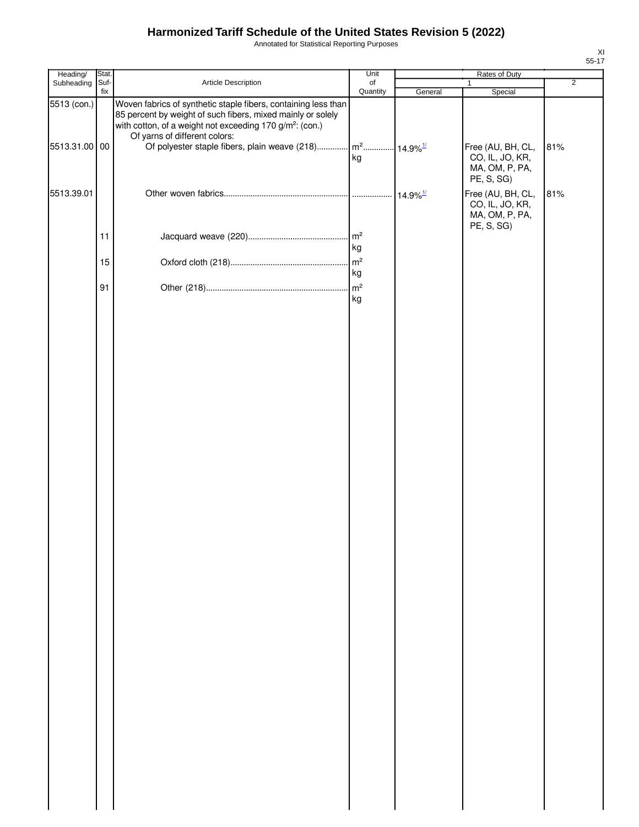Annotated for Statistical Reporting Purposes

| Heading/                     | Stat.       |                                                                                                                                                                                                                                                                                         | Unit                                     |                        | Rates of Duty                                                        |                |
|------------------------------|-------------|-----------------------------------------------------------------------------------------------------------------------------------------------------------------------------------------------------------------------------------------------------------------------------------------|------------------------------------------|------------------------|----------------------------------------------------------------------|----------------|
| Subheading                   | Suf-<br>fix | Article Description                                                                                                                                                                                                                                                                     | of<br>Quantity                           |                        | 1<br>Special                                                         | $\overline{2}$ |
| 5513 (con.)<br>5513.31.00 00 |             | Woven fabrics of synthetic staple fibers, containing less than<br>85 percent by weight of such fibers, mixed mainly or solely<br>with cotton, of a weight not exceeding 170 g/m <sup>2</sup> : (con.)<br>Of yarns of different colors:<br>Of polyester staple fibers, plain weave (218) |                                          | General                | Free (AU, BH, CL,                                                    | 81%            |
|                              |             |                                                                                                                                                                                                                                                                                         | m <sup>2</sup> 14.9% <sup>1/</sup><br>kg |                        | CO, IL, JO, KR,<br>MA, OM, P, PA,<br>PE, S, SG)                      |                |
| 5513.39.01                   |             |                                                                                                                                                                                                                                                                                         |                                          | $14.9\%$ <sup>1/</sup> | Free (AU, BH, CL,<br>CO, IL, JO, KR,<br>MA, OM, P, PA,<br>PE, S, SG) | 81%            |
|                              | 11          |                                                                                                                                                                                                                                                                                         | kg                                       |                        |                                                                      |                |
|                              | 15          |                                                                                                                                                                                                                                                                                         | $\mathsf{m}^2$<br>kg                     |                        |                                                                      |                |
|                              | 91          |                                                                                                                                                                                                                                                                                         | $\mathsf{m}^2$<br>kg                     |                        |                                                                      |                |
|                              |             |                                                                                                                                                                                                                                                                                         |                                          |                        |                                                                      |                |
|                              |             |                                                                                                                                                                                                                                                                                         |                                          |                        |                                                                      |                |
|                              |             |                                                                                                                                                                                                                                                                                         |                                          |                        |                                                                      |                |
|                              |             |                                                                                                                                                                                                                                                                                         |                                          |                        |                                                                      |                |
|                              |             |                                                                                                                                                                                                                                                                                         |                                          |                        |                                                                      |                |
|                              |             |                                                                                                                                                                                                                                                                                         |                                          |                        |                                                                      |                |
|                              |             |                                                                                                                                                                                                                                                                                         |                                          |                        |                                                                      |                |
|                              |             |                                                                                                                                                                                                                                                                                         |                                          |                        |                                                                      |                |
|                              |             |                                                                                                                                                                                                                                                                                         |                                          |                        |                                                                      |                |
|                              |             |                                                                                                                                                                                                                                                                                         |                                          |                        |                                                                      |                |
|                              |             |                                                                                                                                                                                                                                                                                         |                                          |                        |                                                                      |                |
|                              |             |                                                                                                                                                                                                                                                                                         |                                          |                        |                                                                      |                |
|                              |             |                                                                                                                                                                                                                                                                                         |                                          |                        |                                                                      |                |
|                              |             |                                                                                                                                                                                                                                                                                         |                                          |                        |                                                                      |                |
|                              |             |                                                                                                                                                                                                                                                                                         |                                          |                        |                                                                      |                |
|                              |             |                                                                                                                                                                                                                                                                                         |                                          |                        |                                                                      |                |
|                              |             |                                                                                                                                                                                                                                                                                         |                                          |                        |                                                                      |                |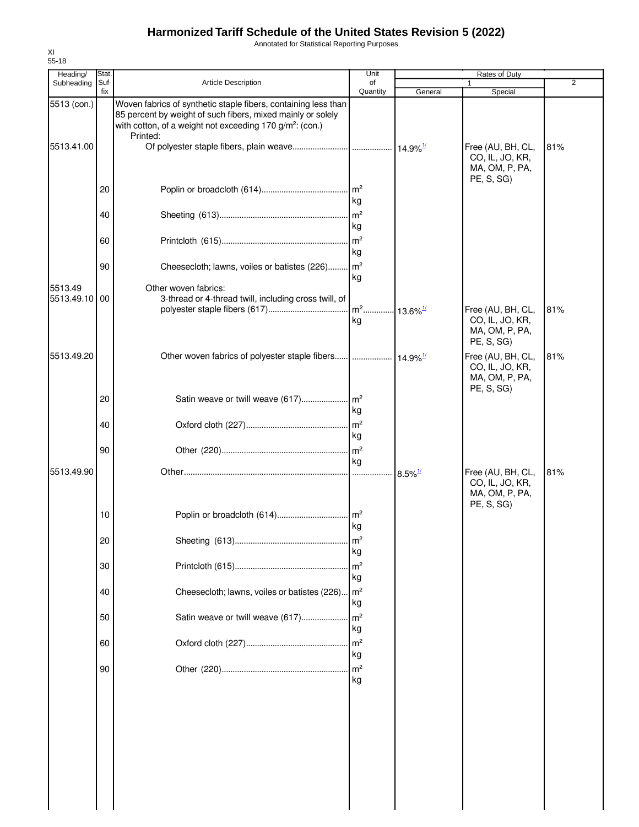Annotated for Statistical Reporting Purposes

| Heading/                 | Stat.       |                                                                                                                                                                                                                   | Unit                               |                       | Rates of Duty                                                        |                |
|--------------------------|-------------|-------------------------------------------------------------------------------------------------------------------------------------------------------------------------------------------------------------------|------------------------------------|-----------------------|----------------------------------------------------------------------|----------------|
| Subheading               | Suf-<br>fix | <b>Article Description</b>                                                                                                                                                                                        | of<br>Quantity                     | General               | Special                                                              | $\overline{2}$ |
| 5513 (con.)              |             | Woven fabrics of synthetic staple fibers, containing less than<br>85 percent by weight of such fibers, mixed mainly or solely<br>with cotton, of a weight not exceeding 170 g/m <sup>2</sup> : (con.)<br>Printed: |                                    |                       |                                                                      |                |
| 5513.41.00               |             |                                                                                                                                                                                                                   |                                    |                       | Free (AU, BH, CL,<br>CO, IL, JO, KR,<br>MA, OM, P, PA,<br>PE, S, SG) | 81%            |
|                          | 20          |                                                                                                                                                                                                                   | kg                                 |                       |                                                                      |                |
|                          | 40          |                                                                                                                                                                                                                   | kg                                 |                       |                                                                      |                |
|                          | 60          |                                                                                                                                                                                                                   | $\mathsf{Im}^2$<br>kg              |                       |                                                                      |                |
|                          | 90          | Cheesecloth; lawns, voiles or batistes (226)                                                                                                                                                                      | kg                                 |                       |                                                                      |                |
| 5513.49<br>5513.49.10 00 |             | Other woven fabrics:<br>3-thread or 4-thread twill, including cross twill, of                                                                                                                                     | m <sup>2</sup> 13.6% <sup>1/</sup> |                       |                                                                      | 81%            |
|                          |             |                                                                                                                                                                                                                   | kg                                 |                       | Free (AU, BH, CL,<br>CO, IL, JO, KR,<br>MA, OM, P, PA,<br>PE, S, SG) |                |
| 5513.49.20               |             |                                                                                                                                                                                                                   |                                    |                       | Free (AU, BH, CL,<br>CO, IL, JO, KR,<br>MA, OM, P, PA,<br>PE, S, SG) | 81%            |
|                          | 20          |                                                                                                                                                                                                                   | kg                                 |                       |                                                                      |                |
|                          | 40          |                                                                                                                                                                                                                   | $\mathsf{Im}^2$<br>kg              |                       |                                                                      |                |
|                          | 90          |                                                                                                                                                                                                                   | m <sup>2</sup><br>kg               |                       |                                                                      |                |
| 5513.49.90               |             |                                                                                                                                                                                                                   |                                    | $8.5\%$ <sup>1/</sup> | Free (AU, BH, CL,<br>CO, IL, JO, KR,<br>MA, OM, P, PA,<br>PE, S, SG) | 81%            |
|                          | 10          |                                                                                                                                                                                                                   | kg                                 |                       |                                                                      |                |
|                          | 20          |                                                                                                                                                                                                                   | $\mathsf{Im}^2$<br>kg              |                       |                                                                      |                |
|                          | 30          |                                                                                                                                                                                                                   | $\mathsf{Im}^2$<br>kg              |                       |                                                                      |                |
|                          | 40          | Cheesecloth; lawns, voiles or batistes (226) m <sup>2</sup>                                                                                                                                                       | kg                                 |                       |                                                                      |                |
|                          | 50          | Satin weave or twill weave (617)                                                                                                                                                                                  | $\mathsf{Im}^2$<br>kg              |                       |                                                                      |                |
|                          | 60          |                                                                                                                                                                                                                   | $\mathsf{m}^2$<br>kg               |                       |                                                                      |                |
|                          | 90          |                                                                                                                                                                                                                   | kg                                 |                       |                                                                      |                |
|                          |             |                                                                                                                                                                                                                   |                                    |                       |                                                                      |                |
|                          |             |                                                                                                                                                                                                                   |                                    |                       |                                                                      |                |
|                          |             |                                                                                                                                                                                                                   |                                    |                       |                                                                      |                |
|                          |             |                                                                                                                                                                                                                   |                                    |                       |                                                                      |                |
|                          |             |                                                                                                                                                                                                                   |                                    |                       |                                                                      |                |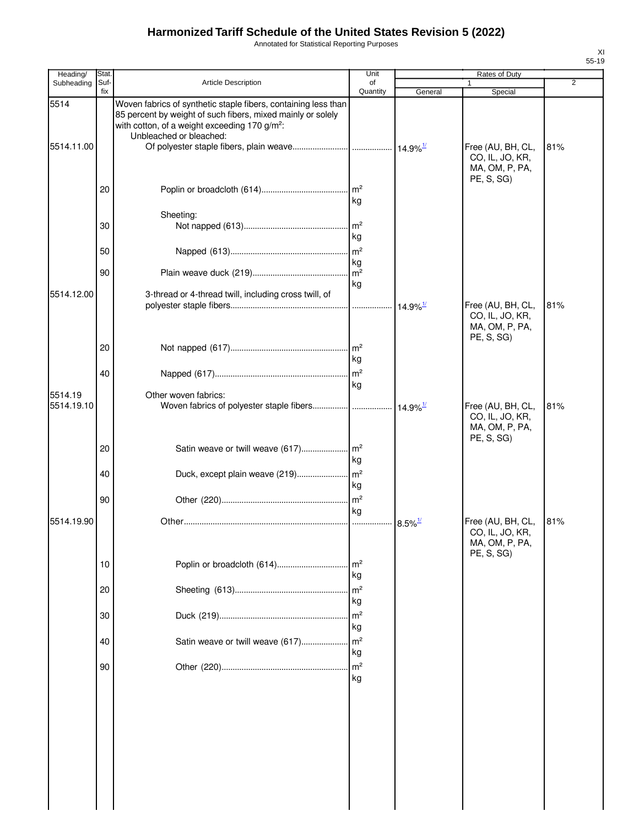Annotated for Statistical Reporting Purposes

| Heading/              | Stat.           |                                                                                                                                                                                                                       | Unit                                    |                        | Rates of Duty                                                        |     |
|-----------------------|-----------------|-----------------------------------------------------------------------------------------------------------------------------------------------------------------------------------------------------------------------|-----------------------------------------|------------------------|----------------------------------------------------------------------|-----|
| Subheading            | Suf-<br>fix     | <b>Article Description</b>                                                                                                                                                                                            | of<br>Quantity                          | General                | 1<br>Special                                                         | 2   |
| 5514<br>5514.11.00    |                 | Woven fabrics of synthetic staple fibers, containing less than<br>85 percent by weight of such fibers, mixed mainly or solely<br>with cotton, of a weight exceeding 170 g/m <sup>2</sup> :<br>Unbleached or bleached: |                                         |                        | Free (AU, BH, CL,<br>CO, IL, JO, KR,<br>MA, OM, P, PA,               | 81% |
|                       | 20              |                                                                                                                                                                                                                       | $\mathsf{Im}^2$<br>kg                   |                        | PE, S, SG)                                                           |     |
|                       |                 | Sheeting:                                                                                                                                                                                                             |                                         |                        |                                                                      |     |
|                       | 30              |                                                                                                                                                                                                                       | $\mathsf{Im}^2$<br>kg                   |                        |                                                                      |     |
|                       | 50              |                                                                                                                                                                                                                       | m <sup>2</sup><br>kg                    |                        |                                                                      |     |
|                       | 90              |                                                                                                                                                                                                                       | m <sup>2</sup><br>kg                    |                        |                                                                      |     |
| 5514.12.00            |                 | 3-thread or 4-thread twill, including cross twill, of                                                                                                                                                                 |                                         | $14.9\%$ <sup>1/</sup> | Free (AU, BH, CL,<br>CO, IL, JO, KR,<br>MA, OM, P, PA,               | 81% |
|                       | 20              |                                                                                                                                                                                                                       | . $\mathsf{Im}^2$<br>kg                 |                        | PE, S, SG)                                                           |     |
|                       | 40              |                                                                                                                                                                                                                       | m <sup>2</sup><br>kg                    |                        |                                                                      |     |
| 5514.19<br>5514.19.10 |                 | Other woven fabrics:<br>Woven fabrics of polyester staple fibers  14.9% <sup>1/</sup>                                                                                                                                 |                                         |                        | Free (AU, BH, CL,<br>CO, IL, JO, KR,                                 | 81% |
|                       | 20<br>40        | Satin weave or twill weave (617)<br>Duck, except plain weave (219)                                                                                                                                                    | $\mathsf{Im}^2$<br>kg<br>m <sup>2</sup> |                        | MA, OM, P, PA,<br>PE, S, SG)                                         |     |
|                       |                 |                                                                                                                                                                                                                       | kg                                      |                        |                                                                      |     |
|                       | 90              |                                                                                                                                                                                                                       | m <sup>2</sup><br>kg                    |                        |                                                                      |     |
| 5514.19.90            |                 |                                                                                                                                                                                                                       |                                         | $8.5\%$ <sup>1/</sup>  | Free (AU, BH, CL,<br>CO, IL, JO, KR,<br>MA, OM, P, PA,<br>PE, S, SG) | 81% |
|                       | 10 <sup>°</sup> | Poplin or broadcloth (614)                                                                                                                                                                                            | m <sup>2</sup><br>kg                    |                        |                                                                      |     |
|                       | 20              |                                                                                                                                                                                                                       | m <sup>2</sup><br>kg                    |                        |                                                                      |     |
|                       | 30              |                                                                                                                                                                                                                       | m <sup>2</sup><br>kg                    |                        |                                                                      |     |
|                       | 40              | Satin weave or twill weave (617)                                                                                                                                                                                      | m <sup>2</sup><br>kg                    |                        |                                                                      |     |
|                       | 90              |                                                                                                                                                                                                                       | m <sup>2</sup><br>kg                    |                        |                                                                      |     |
|                       |                 |                                                                                                                                                                                                                       |                                         |                        |                                                                      |     |
|                       |                 |                                                                                                                                                                                                                       |                                         |                        |                                                                      |     |
|                       |                 |                                                                                                                                                                                                                       |                                         |                        |                                                                      |     |
|                       |                 |                                                                                                                                                                                                                       |                                         |                        |                                                                      |     |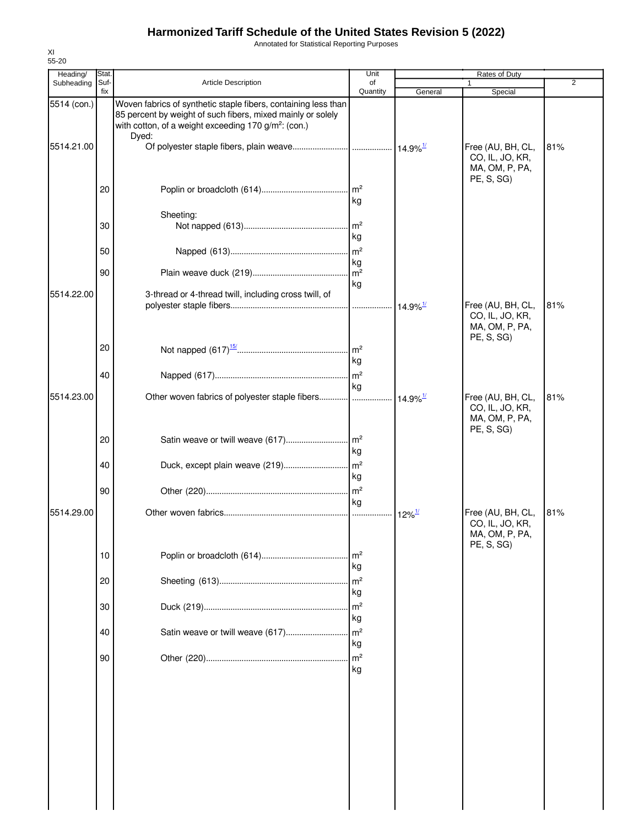Annotated for Statistical Reporting Purposes

| Heading/    | Stat        |                                                                                                                                                                                                            | Unit                        |                        | Rates of Duty                                          |                |
|-------------|-------------|------------------------------------------------------------------------------------------------------------------------------------------------------------------------------------------------------------|-----------------------------|------------------------|--------------------------------------------------------|----------------|
| Subheading  | Suf-<br>fix | Article Description                                                                                                                                                                                        | of<br>Quantity              | General                | 1<br>Special                                           | $\overline{2}$ |
| 5514 (con.) |             | Woven fabrics of synthetic staple fibers, containing less than<br>85 percent by weight of such fibers, mixed mainly or solely<br>with cotton, of a weight exceeding 170 g/m <sup>2</sup> : (con.)<br>Dyed: |                             |                        |                                                        |                |
| 5514.21.00  |             |                                                                                                                                                                                                            |                             |                        | Free (AU, BH, CL,<br>CO, IL, JO, KR,<br>MA, OM, P, PA, | 81%            |
|             | 20          |                                                                                                                                                                                                            | kg                          |                        | PE, S, SG)                                             |                |
|             |             | Sheeting:                                                                                                                                                                                                  |                             |                        |                                                        |                |
|             | 30          |                                                                                                                                                                                                            | $\mathsf{Im}^2$<br>kg       |                        |                                                        |                |
|             | 50          |                                                                                                                                                                                                            | $\mathsf{Im}^2$             |                        |                                                        |                |
|             | 90          |                                                                                                                                                                                                            | kg<br>$\mathsf{Im}^2$<br>kg |                        |                                                        |                |
| 5514.22.00  |             | 3-thread or 4-thread twill, including cross twill, of                                                                                                                                                      |                             | $14.9\%$ <sup>1/</sup> | Free (AU, BH, CL,<br>CO, IL, JO, KR,<br>MA, OM, P, PA, | 81%            |
|             | 20          |                                                                                                                                                                                                            | kg                          |                        | PE, S, SG)                                             |                |
|             | 40          |                                                                                                                                                                                                            | m <sup>2</sup>              |                        |                                                        |                |
| 5514.23.00  |             |                                                                                                                                                                                                            | kg                          | $14.9\%$ <sup>1/</sup> | Free (AU, BH, CL,<br>CO, IL, JO, KR,<br>MA, OM, P, PA, | 81%            |
|             | 20          |                                                                                                                                                                                                            | kg                          |                        | PE, S, SG)                                             |                |
|             | 40          |                                                                                                                                                                                                            | kg                          |                        |                                                        |                |
|             | 90          |                                                                                                                                                                                                            |                             |                        |                                                        |                |
| 5514.29.00  |             |                                                                                                                                                                                                            | kg<br>.                     | $12\%$ <sup>1/</sup>   | Free (AU, BH, CL,<br>CO, IL, JO, KR,<br>MA, OM, P, PA, | 81%            |
|             | 10          |                                                                                                                                                                                                            | $\mathsf{Im}^2$<br>kg       |                        | PE, S, SG)                                             |                |
|             | 20          |                                                                                                                                                                                                            | m <sup>2</sup><br>kg        |                        |                                                        |                |
|             | 30          |                                                                                                                                                                                                            | m <sup>2</sup><br>kg        |                        |                                                        |                |
|             | 40          | Satin weave or twill weave (617)                                                                                                                                                                           | m <sup>2</sup><br>kg        |                        |                                                        |                |
|             | 90          |                                                                                                                                                                                                            | m <sup>2</sup><br>kg        |                        |                                                        |                |
|             |             |                                                                                                                                                                                                            |                             |                        |                                                        |                |
|             |             |                                                                                                                                                                                                            |                             |                        |                                                        |                |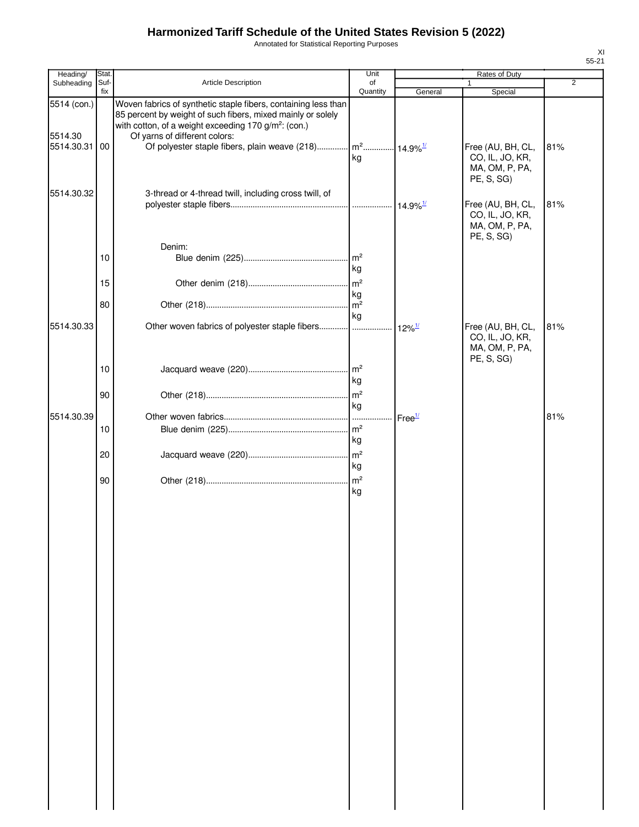Annotated for Statistical Reporting Purposes

| Heading/                             | Stat        |                                                                                                                                                                                                                                                                                                                 | Unit                  |                                            | Rates of Duty                                                        |                |
|--------------------------------------|-------------|-----------------------------------------------------------------------------------------------------------------------------------------------------------------------------------------------------------------------------------------------------------------------------------------------------------------|-----------------------|--------------------------------------------|----------------------------------------------------------------------|----------------|
| Subheading                           | Suf-<br>fix | Article Description                                                                                                                                                                                                                                                                                             | of<br>Quantity        | General                                    | Special                                                              | $\overline{2}$ |
| 5514 (con.)<br>5514.30<br>5514.30.31 | 00          | Woven fabrics of synthetic staple fibers, containing less than<br>85 percent by weight of such fibers, mixed mainly or solely<br>with cotton, of a weight exceeding 170 g/m <sup>2</sup> : (con.)<br>Of yarns of different colors:<br>Of polyester staple fibers, plain weave (218) $\left  m^2 \right  14.9\%$ | kg                    |                                            | Free (AU, BH, CL,<br>CO, IL, JO, KR,<br>MA, OM, P, PA,<br>PE, S, SG) | 81%            |
| 5514.30.32                           |             | 3-thread or 4-thread twill, including cross twill, of                                                                                                                                                                                                                                                           |                       |                                            | Free (AU, BH, CL,<br>CO, IL, JO, KR,<br>MA, OM, P, PA,<br>PE, S, SG) | 81%            |
|                                      | 10          | Denim:                                                                                                                                                                                                                                                                                                          | $\mathsf{Im}^2$<br>kg |                                            |                                                                      |                |
|                                      | 15          |                                                                                                                                                                                                                                                                                                                 | m <sup>2</sup><br>kg  |                                            |                                                                      |                |
|                                      | 80          |                                                                                                                                                                                                                                                                                                                 | m <sup>2</sup>        |                                            |                                                                      |                |
| 5514.30.33                           |             | Other woven fabrics of polyester staple fibers                                                                                                                                                                                                                                                                  | kg                    | $12\%$ <sup><math>\frac{1}{2}</math></sup> | Free (AU, BH, CL,<br>CO, IL, JO, KR,<br>MA, OM, P, PA,<br>PE, S, SG) | 81%            |
|                                      | 10          |                                                                                                                                                                                                                                                                                                                 | kg                    |                                            |                                                                      |                |
|                                      | 90          |                                                                                                                                                                                                                                                                                                                 | $\mathsf{Im}^2$<br>kg |                                            |                                                                      |                |
| 5514.30.39                           | 10          |                                                                                                                                                                                                                                                                                                                 | kg                    | Free <sup>1/</sup>                         |                                                                      | 81%            |
|                                      | 20          |                                                                                                                                                                                                                                                                                                                 | $\mathsf{m}^2$<br>kg  |                                            |                                                                      |                |
|                                      | 90          |                                                                                                                                                                                                                                                                                                                 | $\mathsf{Im}^2$<br>kg |                                            |                                                                      |                |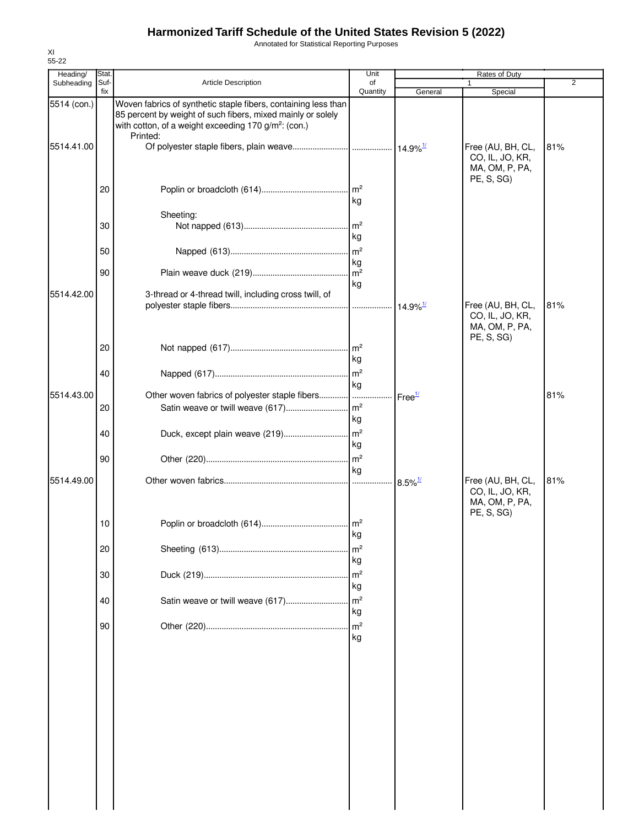Annotated for Statistical Reporting Purposes

| Heading/    | Stat.       |                                                                                                                                                                                                               | Unit                       |                        | <b>Rates of Duty</b>                                                 |                |
|-------------|-------------|---------------------------------------------------------------------------------------------------------------------------------------------------------------------------------------------------------------|----------------------------|------------------------|----------------------------------------------------------------------|----------------|
| Subheading  | Suf-<br>fix | Article Description                                                                                                                                                                                           | of<br>Quantity             | General                | 1<br>Special                                                         | $\overline{2}$ |
| 5514 (con.) |             | Woven fabrics of synthetic staple fibers, containing less than<br>85 percent by weight of such fibers, mixed mainly or solely<br>with cotton, of a weight exceeding 170 g/m <sup>2</sup> : (con.)<br>Printed: |                            |                        |                                                                      |                |
| 5514.41.00  |             |                                                                                                                                                                                                               |                            |                        | Free (AU, BH, CL,<br>CO, IL, JO, KR,<br>MA, OM, P, PA,<br>PE, S, SG) | 81%            |
|             | 20          |                                                                                                                                                                                                               | kg                         |                        |                                                                      |                |
|             |             | Sheeting:                                                                                                                                                                                                     |                            |                        |                                                                      |                |
|             | 30          |                                                                                                                                                                                                               | $\mathsf{Im}^2$<br>kg      |                        |                                                                      |                |
|             | 50          |                                                                                                                                                                                                               | $\mathsf{m}^2$             |                        |                                                                      |                |
|             | 90          |                                                                                                                                                                                                               | kg<br>$\mathsf{m}^2$<br>kg |                        |                                                                      |                |
| 5514.42.00  |             | 3-thread or 4-thread twill, including cross twill, of                                                                                                                                                         |                            | $14.9\%$ <sup>1/</sup> | Free (AU, BH, CL,                                                    | 81%            |
|             |             |                                                                                                                                                                                                               |                            |                        | CO, IL, JO, KR,<br>MA, OM, P, PA,<br>PE, S, SG)                      |                |
|             | 20          |                                                                                                                                                                                                               | $\mathsf{Im}^2$<br>kg      |                        |                                                                      |                |
| 5514.43.00  | 40          | Other woven fabrics of polyester staple fibers                                                                                                                                                                | $\mathsf{Im}^2$<br>kg      |                        |                                                                      | 81%            |
|             | 20          | Satin weave or twill weave (617)                                                                                                                                                                              | $\mathsf{Im}^2$<br>kg      | Free <sup>1/</sup>     |                                                                      |                |
|             | 40          |                                                                                                                                                                                                               | kg                         |                        |                                                                      |                |
|             | 90          |                                                                                                                                                                                                               | kg                         |                        |                                                                      |                |
| 5514.49.00  |             |                                                                                                                                                                                                               |                            | $8.5\%$ <sup>1/</sup>  | Free (AU, BH, CL,<br>CO, IL, JO, KR,<br>MA, OM, P, PA,<br>PE, S, SG) | 81%            |
|             | 10          |                                                                                                                                                                                                               | kg                         |                        |                                                                      |                |
|             | 20          |                                                                                                                                                                                                               | m <sup>2</sup><br>kg       |                        |                                                                      |                |
|             | 30          |                                                                                                                                                                                                               | m <sup>2</sup><br>kg       |                        |                                                                      |                |
|             | 40          | Satin weave or twill weave (617)                                                                                                                                                                              | m <sup>2</sup><br>kg       |                        |                                                                      |                |
|             | 90          |                                                                                                                                                                                                               | m <sup>2</sup><br>kg       |                        |                                                                      |                |
|             |             |                                                                                                                                                                                                               |                            |                        |                                                                      |                |
|             |             |                                                                                                                                                                                                               |                            |                        |                                                                      |                |
|             |             |                                                                                                                                                                                                               |                            |                        |                                                                      |                |
|             |             |                                                                                                                                                                                                               |                            |                        |                                                                      |                |
|             |             |                                                                                                                                                                                                               |                            |                        |                                                                      |                |
|             |             |                                                                                                                                                                                                               |                            |                        |                                                                      |                |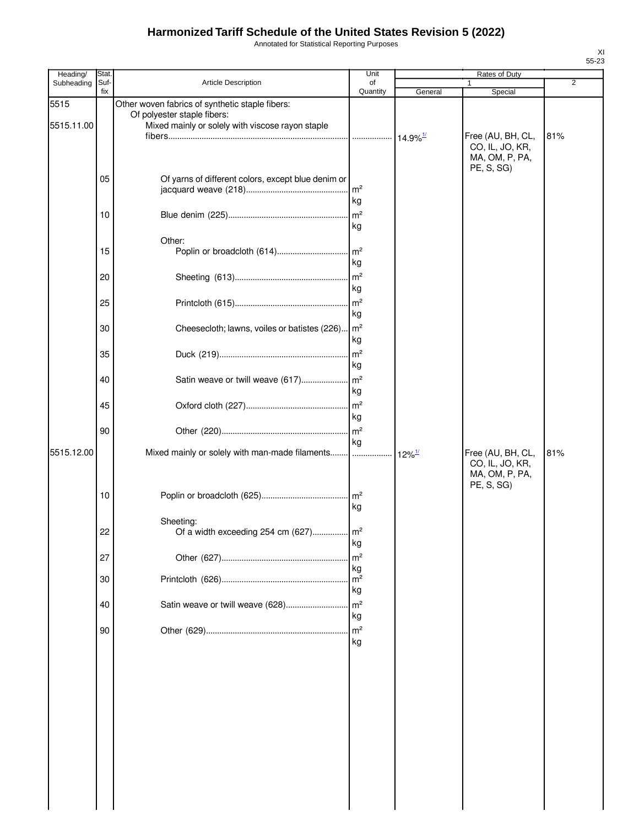Annotated for Statistical Reporting Purposes

| Heading/           | Stat.       |                                                                                                                                    | Unit                                   |                        | Rates of Duty                                                     |                |
|--------------------|-------------|------------------------------------------------------------------------------------------------------------------------------------|----------------------------------------|------------------------|-------------------------------------------------------------------|----------------|
| Subheading         | Suf-<br>fix | Article Description                                                                                                                | οf<br>Quantity                         | General                | 1                                                                 | $\overline{2}$ |
| 5515<br>5515.11.00 |             | Other woven fabrics of synthetic staple fibers:<br>Of polyester staple fibers:<br>Mixed mainly or solely with viscose rayon staple |                                        | $14.9\%$ <sup>1/</sup> | Special<br>Free (AU, BH, CL,<br>CO, IL, JO, KR,<br>MA, OM, P, PA, | 81%            |
|                    | 05          | Of yarns of different colors, except blue denim or                                                                                 | m <sup>2</sup><br>kg                   |                        | PE, S, SG)                                                        |                |
|                    | 10          |                                                                                                                                    | m <sup>2</sup><br>kg                   |                        |                                                                   |                |
|                    | 15          | Other:                                                                                                                             | $\mathsf{Im}^2$<br>kg                  |                        |                                                                   |                |
|                    | 20          |                                                                                                                                    | m <sup>2</sup><br>kg                   |                        |                                                                   |                |
|                    | 25          |                                                                                                                                    | m <sup>2</sup><br>kg                   |                        |                                                                   |                |
|                    | 30          | Cheesecloth; lawns, voiles or batistes (226)                                                                                       | $\mathsf{Im}^2$<br>kg                  |                        |                                                                   |                |
|                    | 35          |                                                                                                                                    | m <sup>2</sup><br>kg                   |                        |                                                                   |                |
|                    | 40          |                                                                                                                                    | kg                                     |                        |                                                                   |                |
|                    | 45          |                                                                                                                                    | m <sup>2</sup><br>kg                   |                        |                                                                   |                |
| 5515.12.00         | 90          | Mixed mainly or solely with man-made filaments                                                                                     | m <sup>2</sup><br>kg                   | $12\%$ <sup>1/</sup>   | Free (AU, BH, CL,                                                 | 81%            |
|                    | 10          |                                                                                                                                    | kg                                     |                        | CO, IL, JO, KR,<br>MA, OM, P, PA,<br>PE, S, SG)                   |                |
|                    | 22          | Sheeting:                                                                                                                          | kg                                     |                        |                                                                   |                |
|                    | 27<br>30    |                                                                                                                                    | m <sup>2</sup><br>kg<br>m <sup>2</sup> |                        |                                                                   |                |
|                    | 40          | Satin weave or twill weave (628)                                                                                                   | kg<br>m <sup>2</sup><br>kg             |                        |                                                                   |                |
|                    | 90          |                                                                                                                                    | m <sup>2</sup><br>kg                   |                        |                                                                   |                |
|                    |             |                                                                                                                                    |                                        |                        |                                                                   |                |
|                    |             |                                                                                                                                    |                                        |                        |                                                                   |                |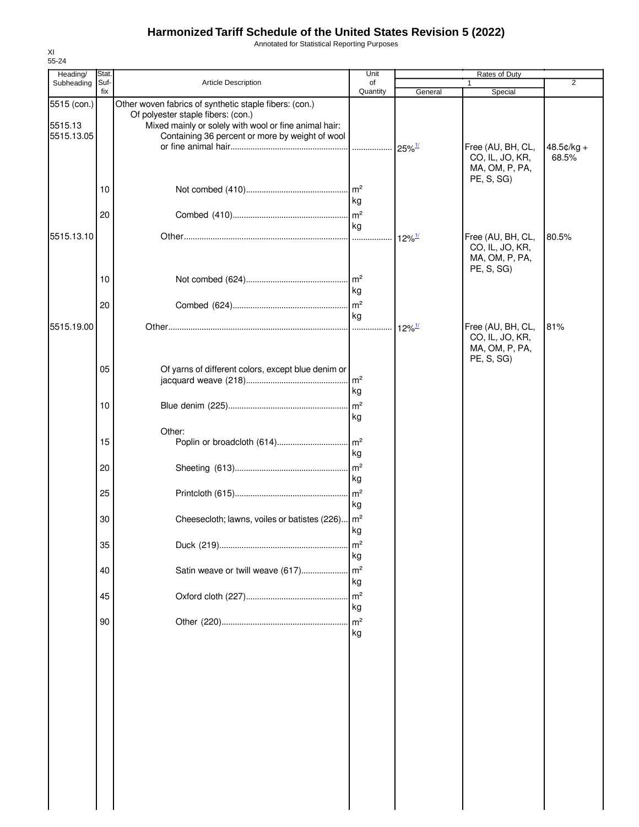Annotated for Statistical Reporting Purposes

| Heading/               | Stat.       |                                                                                                                                                       | Unit                                   |                      | Rates of Duty                                          |                     |
|------------------------|-------------|-------------------------------------------------------------------------------------------------------------------------------------------------------|----------------------------------------|----------------------|--------------------------------------------------------|---------------------|
| Subheading             | Suf-<br>fix | <b>Article Description</b>                                                                                                                            | of<br>Quantity                         | General              | 1<br>Special                                           | 2                   |
| 5515 (con.)<br>5515.13 |             | Other woven fabrics of synthetic staple fibers: (con.)<br>Of polyester staple fibers: (con.)<br>Mixed mainly or solely with wool or fine animal hair: |                                        |                      |                                                        |                     |
| 5515.13.05             |             | Containing 36 percent or more by weight of wool                                                                                                       |                                        | $25\%$ <sup>1/</sup> | Free (AU, BH, CL,<br>CO, IL, JO, KR,<br>MA, OM, P, PA, | 48.5¢/kg +<br>68.5% |
|                        | 10          |                                                                                                                                                       | $\mathsf{Im}^2$<br>kg                  |                      | PE, S, SG)                                             |                     |
| 5515.13.10             | 20          |                                                                                                                                                       | kg                                     |                      | Free (AU, BH, CL,                                      | 80.5%               |
|                        |             |                                                                                                                                                       | 1.1.1.1                                | $12\%$ <sup>1/</sup> | CO, IL, JO, KR,<br>MA, OM, P, PA,<br>PE, S, SG)        |                     |
|                        | 10          |                                                                                                                                                       | m <sup>2</sup><br>kg                   |                      |                                                        |                     |
| 5515.19.00             | 20          |                                                                                                                                                       | m <sup>2</sup><br>kg<br>.              | $12\%$ <sup>1/</sup> | Free (AU, BH, CL,                                      | 81%                 |
|                        |             |                                                                                                                                                       |                                        |                      | CO, IL, JO, KR,<br>MA, OM, P, PA,<br>PE, S, SG)        |                     |
|                        | 05          | Of yarns of different colors, except blue denim or                                                                                                    | m <sup>2</sup><br>kg                   |                      |                                                        |                     |
|                        | 10          |                                                                                                                                                       | m <sup>2</sup><br>kg                   |                      |                                                        |                     |
|                        | 15          | Other:                                                                                                                                                | kg                                     |                      |                                                        |                     |
|                        | 20          |                                                                                                                                                       | m <sup>2</sup><br>kg                   |                      |                                                        |                     |
|                        | 25          |                                                                                                                                                       | m <sup>2</sup><br>kg                   |                      |                                                        |                     |
|                        | 30          | Cheesecloth; lawns, voiles or batistes (226)   m <sup>2</sup>                                                                                         | kg                                     |                      |                                                        |                     |
|                        | 35<br>40    | Satin weave or twill weave (617)                                                                                                                      | m <sup>2</sup><br>kg<br>m <sup>2</sup> |                      |                                                        |                     |
|                        | 45          |                                                                                                                                                       | kg<br>m <sup>2</sup>                   |                      |                                                        |                     |
|                        | 90          |                                                                                                                                                       | kg<br>m <sup>2</sup>                   |                      |                                                        |                     |
|                        |             |                                                                                                                                                       | kg                                     |                      |                                                        |                     |
|                        |             |                                                                                                                                                       |                                        |                      |                                                        |                     |
|                        |             |                                                                                                                                                       |                                        |                      |                                                        |                     |
|                        |             |                                                                                                                                                       |                                        |                      |                                                        |                     |
|                        |             |                                                                                                                                                       |                                        |                      |                                                        |                     |
|                        |             |                                                                                                                                                       |                                        |                      |                                                        |                     |
|                        |             |                                                                                                                                                       |                                        |                      |                                                        |                     |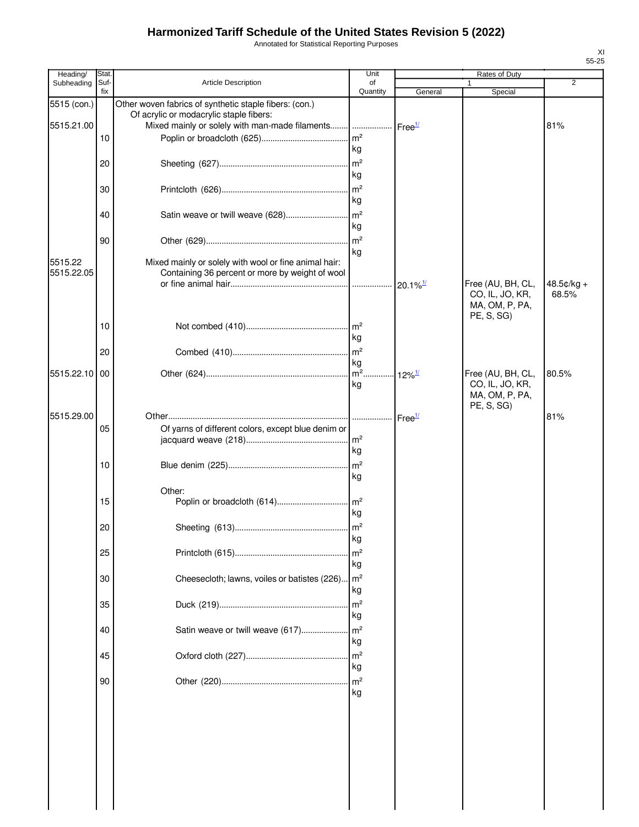Annotated for Statistical Reporting Purposes

| Heading/                  | Stat.       |                                                                                                                                                                           | Unit                  |                        | Rates of Duty                                                        |                |
|---------------------------|-------------|---------------------------------------------------------------------------------------------------------------------------------------------------------------------------|-----------------------|------------------------|----------------------------------------------------------------------|----------------|
| Subheading                | Suf-<br>fix | Article Description                                                                                                                                                       | of<br>Quantity        | General                | 1<br>Special                                                         | $\overline{2}$ |
| 5515 (con.)<br>5515.21.00 |             | Other woven fabrics of synthetic staple fibers: (con.)<br>Of acrylic or modacrylic staple fibers:<br>Mixed mainly or solely with man-made filaments    Free <sup>1/</sup> |                       |                        |                                                                      | 81%            |
|                           | 10          |                                                                                                                                                                           | kg                    |                        |                                                                      |                |
|                           | 20          |                                                                                                                                                                           | $\mathsf{Im}^2$<br>kg |                        |                                                                      |                |
|                           | 30          |                                                                                                                                                                           | m <sup>2</sup><br>kg  |                        |                                                                      |                |
|                           | 40          | Satin weave or twill weave (628)                                                                                                                                          | $\mathsf{m}^2$<br>kg  |                        |                                                                      |                |
|                           | 90          |                                                                                                                                                                           | $\mathsf{m}^2$<br>kg  |                        |                                                                      |                |
| 5515.22<br>5515.22.05     |             | Mixed mainly or solely with wool or fine animal hair:<br>Containing 36 percent or more by weight of wool                                                                  |                       | $20.1\%$ <sup>1/</sup> | Free (AU, BH, CL,                                                    | 48.5¢/kg +     |
|                           |             |                                                                                                                                                                           |                       |                        | CO, IL, JO, KR,<br>MA, OM, P, PA,<br>PE, S, SG)                      | 68.5%          |
|                           | 10          |                                                                                                                                                                           | $\mathsf{Im}^2$<br>kg |                        |                                                                      |                |
|                           | 20          |                                                                                                                                                                           | $\mathsf{m}^2$<br>kg  |                        |                                                                      |                |
| 5515.22.10 00             |             |                                                                                                                                                                           | $\sqrt{m^2}$ .<br>kg  | $12\%$ <sup>1/</sup>   | Free (AU, BH, CL,<br>CO, IL, JO, KR,<br>MA, OM, P, PA,<br>PE, S, SG) | 80.5%          |
| 5515.29.00                |             |                                                                                                                                                                           |                       | Free <sup>1/</sup>     |                                                                      | 81%            |
|                           | 05          | Of yarns of different colors, except blue denim or                                                                                                                        | kg                    |                        |                                                                      |                |
|                           | 10          |                                                                                                                                                                           | $\mathsf{Im}^2$<br>kg |                        |                                                                      |                |
|                           | 15          | Other:                                                                                                                                                                    | kg                    |                        |                                                                      |                |
|                           | 20          |                                                                                                                                                                           | kg                    |                        |                                                                      |                |
|                           | 25          |                                                                                                                                                                           | m <sup>2</sup><br>kg  |                        |                                                                      |                |
|                           | 30          | Cheesecloth; lawns, voiles or batistes (226)                                                                                                                              | $\mathsf{Im}^2$<br>kg |                        |                                                                      |                |
|                           | 35          |                                                                                                                                                                           | m <sup>2</sup><br>kg  |                        |                                                                      |                |
|                           | 40          | Satin weave or twill weave (617)                                                                                                                                          | m <sup>2</sup><br>kg  |                        |                                                                      |                |
|                           | 45          |                                                                                                                                                                           | m <sup>2</sup><br>kg  |                        |                                                                      |                |
|                           | 90          |                                                                                                                                                                           | m <sup>2</sup><br>kg  |                        |                                                                      |                |
|                           |             |                                                                                                                                                                           |                       |                        |                                                                      |                |
|                           |             |                                                                                                                                                                           |                       |                        |                                                                      |                |
|                           |             |                                                                                                                                                                           |                       |                        |                                                                      |                |
|                           |             |                                                                                                                                                                           |                       |                        |                                                                      |                |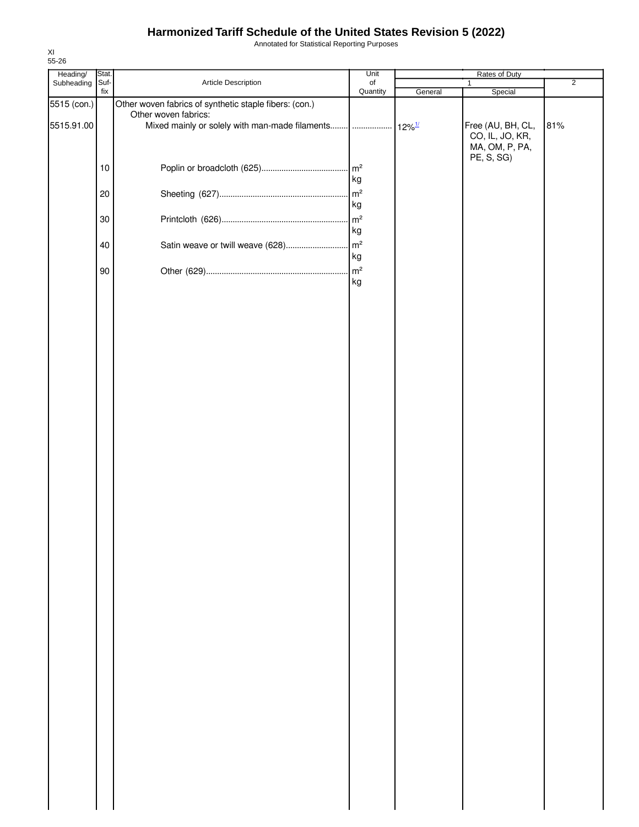Annotated for Statistical Reporting Purposes

| Heading/    | Stat.       |                                                        | Unit     |         | Rates of Duty     |                |
|-------------|-------------|--------------------------------------------------------|----------|---------|-------------------|----------------|
| Subheading  | Suf-<br>fix | Article Description                                    | of       |         | $\mathbf{1}$      | $\overline{2}$ |
| 5515 (con.) |             | Other woven fabrics of synthetic staple fibers: (con.) | Quantity | General | Special           |                |
|             |             | Other woven fabrics:                                   |          |         |                   |                |
| 5515.91.00  |             |                                                        |          |         | Free (AU, BH, CL, | 81%            |
|             |             |                                                        |          |         | CO, IL, JO, KR,   |                |
|             |             |                                                        |          |         | MA, OM, P, PA,    |                |
|             |             |                                                        |          |         | PE, S, SG)        |                |
|             | $10$        |                                                        |          |         |                   |                |
|             |             |                                                        | kg       |         |                   |                |
|             | 20          |                                                        |          |         |                   |                |
|             |             |                                                        | kg       |         |                   |                |
|             | 30          |                                                        |          |         |                   |                |
|             |             |                                                        | kg       |         |                   |                |
|             |             |                                                        |          |         |                   |                |
|             | 40          |                                                        |          |         |                   |                |
|             |             |                                                        | kg       |         |                   |                |
|             | 90          |                                                        |          |         |                   |                |
|             |             |                                                        | kg       |         |                   |                |
|             |             |                                                        |          |         |                   |                |
|             |             |                                                        |          |         |                   |                |
|             |             |                                                        |          |         |                   |                |
|             |             |                                                        |          |         |                   |                |
|             |             |                                                        |          |         |                   |                |
|             |             |                                                        |          |         |                   |                |
|             |             |                                                        |          |         |                   |                |
|             |             |                                                        |          |         |                   |                |
|             |             |                                                        |          |         |                   |                |
|             |             |                                                        |          |         |                   |                |
|             |             |                                                        |          |         |                   |                |
|             |             |                                                        |          |         |                   |                |
|             |             |                                                        |          |         |                   |                |
|             |             |                                                        |          |         |                   |                |
|             |             |                                                        |          |         |                   |                |
|             |             |                                                        |          |         |                   |                |
|             |             |                                                        |          |         |                   |                |
|             |             |                                                        |          |         |                   |                |
|             |             |                                                        |          |         |                   |                |
|             |             |                                                        |          |         |                   |                |
|             |             |                                                        |          |         |                   |                |
|             |             |                                                        |          |         |                   |                |
|             |             |                                                        |          |         |                   |                |
|             |             |                                                        |          |         |                   |                |
|             |             |                                                        |          |         |                   |                |
|             |             |                                                        |          |         |                   |                |
|             |             |                                                        |          |         |                   |                |
|             |             |                                                        |          |         |                   |                |
|             |             |                                                        |          |         |                   |                |
|             |             |                                                        |          |         |                   |                |
|             |             |                                                        |          |         |                   |                |
|             |             |                                                        |          |         |                   |                |
|             |             |                                                        |          |         |                   |                |
|             |             |                                                        |          |         |                   |                |
|             |             |                                                        |          |         |                   |                |
|             |             |                                                        |          |         |                   |                |
|             |             |                                                        |          |         |                   |                |
|             |             |                                                        |          |         |                   |                |
|             |             |                                                        |          |         |                   |                |
|             |             |                                                        |          |         |                   |                |
|             |             |                                                        |          |         |                   |                |
|             |             |                                                        |          |         |                   |                |
|             |             |                                                        |          |         |                   |                |
|             |             |                                                        |          |         |                   |                |
|             |             |                                                        |          |         |                   |                |
|             |             |                                                        |          |         |                   |                |
|             |             |                                                        |          |         |                   |                |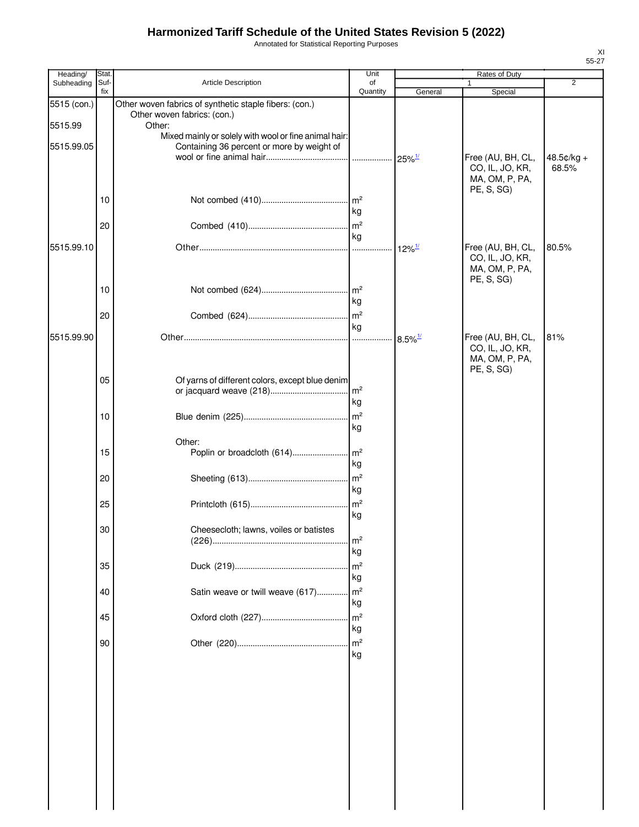Annotated for Statistical Reporting Purposes

| Heading/    | Stat.       |                                                                                                     | Unit                 |                       | Rates of Duty                                                        |                     |
|-------------|-------------|-----------------------------------------------------------------------------------------------------|----------------------|-----------------------|----------------------------------------------------------------------|---------------------|
| Subheading  | Suf-<br>fix | Article Description                                                                                 | of<br>Quantity       | General               | Special                                                              | $\overline{2}$      |
| 5515 (con.) |             | Other woven fabrics of synthetic staple fibers: (con.)<br>Other woven fabrics: (con.)               |                      |                       |                                                                      |                     |
| 5515.99     |             | Other:                                                                                              |                      |                       |                                                                      |                     |
| 5515.99.05  |             | Mixed mainly or solely with wool or fine animal hair:<br>Containing 36 percent or more by weight of |                      | $25\%$ <sup>1/</sup>  | Free (AU, BH, CL,<br>CO, IL, JO, KR,                                 | 48.5¢/kg +<br>68.5% |
|             |             |                                                                                                     |                      |                       | MA, OM, P, PA,<br>PE, S, SG)                                         |                     |
|             | 10          |                                                                                                     | kg                   |                       |                                                                      |                     |
|             | 20          |                                                                                                     | m <sup>2</sup>       |                       |                                                                      |                     |
|             |             |                                                                                                     | kg                   |                       |                                                                      |                     |
| 5515.99.10  |             |                                                                                                     |                      | $12\%$ <sup>1/</sup>  | Free (AU, BH, CL,<br>CO, IL, JO, KR,<br>MA, OM, P, PA,<br>PE, S, SG) | 80.5%               |
|             | 10          |                                                                                                     |                      |                       |                                                                      |                     |
|             |             |                                                                                                     | kg                   |                       |                                                                      |                     |
|             | 20          |                                                                                                     | kg                   |                       |                                                                      |                     |
| 5515.99.90  |             |                                                                                                     |                      | $8.5\%$ <sup>1/</sup> | Free (AU, BH, CL,<br>CO, IL, JO, KR,<br>MA, OM, P, PA,<br>PE, S, SG) | 81%                 |
|             | 05          | Of yarns of different colors, except blue denim                                                     | kg                   |                       |                                                                      |                     |
|             | 10          |                                                                                                     | kg                   |                       |                                                                      |                     |
|             |             | Other:                                                                                              |                      |                       |                                                                      |                     |
|             | 15          |                                                                                                     | kg                   |                       |                                                                      |                     |
|             | 20          |                                                                                                     | kg                   |                       |                                                                      |                     |
|             | 25          |                                                                                                     | m <sup>2</sup><br>kg |                       |                                                                      |                     |
|             | 30          | Cheesecloth; lawns, voiles or batistes                                                              | m <sup>2</sup><br>kg |                       |                                                                      |                     |
|             | 35          |                                                                                                     | m <sup>2</sup><br>kg |                       |                                                                      |                     |
|             | 40          | Satin weave or twill weave (617)                                                                    | m <sup>2</sup><br>kg |                       |                                                                      |                     |
|             | 45          |                                                                                                     | m <sup>2</sup><br>kg |                       |                                                                      |                     |
|             | 90          |                                                                                                     | m <sup>2</sup><br>kg |                       |                                                                      |                     |
|             |             |                                                                                                     |                      |                       |                                                                      |                     |
|             |             |                                                                                                     |                      |                       |                                                                      |                     |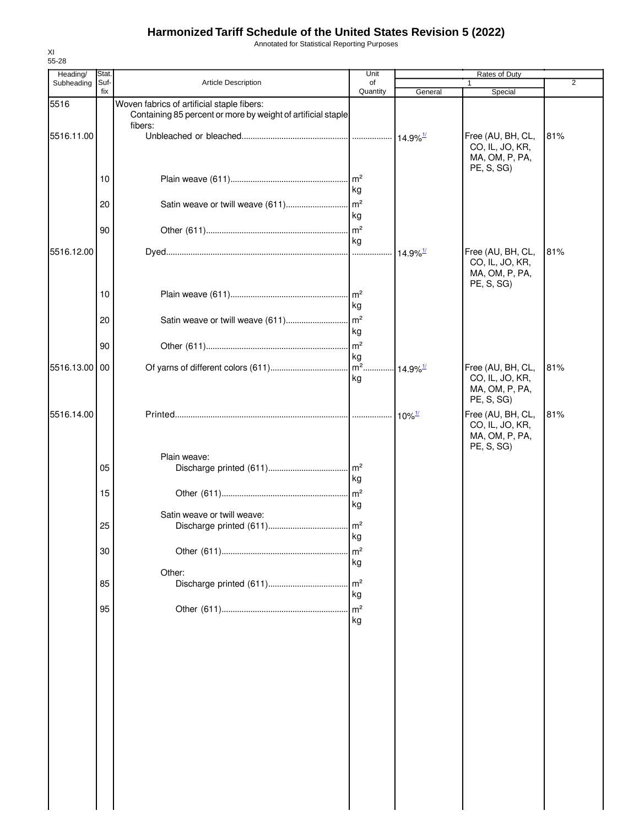Annotated for Statistical Reporting Purposes

| Heading/   | Stat.       |                                                                                                                       | Unit                       | Rates of Duty          |                                                                      |                |
|------------|-------------|-----------------------------------------------------------------------------------------------------------------------|----------------------------|------------------------|----------------------------------------------------------------------|----------------|
| Subheading | Suf-<br>fix | <b>Article Description</b>                                                                                            | of<br>Quantity             | General                | 1<br>Special                                                         | $\overline{2}$ |
| 5516       |             | Woven fabrics of artificial staple fibers:<br>Containing 85 percent or more by weight of artificial staple<br>fibers: |                            |                        |                                                                      |                |
| 5516.11.00 |             |                                                                                                                       |                            | $14.9\%$ <sup>1/</sup> | Free (AU, BH, CL,<br>CO, IL, JO, KR,<br>MA, OM, P, PA,<br>PE, S, SG) | 81%            |
|            | 10          |                                                                                                                       | kg                         |                        |                                                                      |                |
|            | 20          |                                                                                                                       | kg                         |                        |                                                                      |                |
|            | 90          |                                                                                                                       | kg                         |                        |                                                                      |                |
| 5516.12.00 |             |                                                                                                                       |                            |                        | Free (AU, BH, CL,<br>CO, IL, JO, KR,<br>MA, OM, P, PA,<br>PE, S, SG) | 81%            |
|            | 10          |                                                                                                                       | kg                         |                        |                                                                      |                |
|            | 20          |                                                                                                                       | kg                         |                        |                                                                      |                |
|            | 90          |                                                                                                                       | kg                         |                        |                                                                      |                |
| 5516.13.00 | 00          |                                                                                                                       | kg                         | $14.9\%$ <sup>1/</sup> | Free (AU, BH, CL,<br>CO, IL, JO, KR,<br>MA, OM, P, PA,<br>PE, S, SG) | 81%            |
| 5516.14.00 |             |                                                                                                                       |                            | $10\%$ <sup>1/</sup>   | Free (AU, BH, CL,<br>CO, IL, JO, KR,<br>MA, OM, P, PA,<br>PE, S, SG) | 81%            |
|            | 05          | Plain weave:                                                                                                          | kg                         |                        |                                                                      |                |
|            | 15          |                                                                                                                       | kg                         |                        |                                                                      |                |
|            | 25          | Satin weave or twill weave:                                                                                           |                            |                        |                                                                      |                |
|            | 30          |                                                                                                                       | ĸg<br>m <sup>2</sup><br>kg |                        |                                                                      |                |
|            | 85          | Other:                                                                                                                | m <sup>2</sup>             |                        |                                                                      |                |
|            | 95          |                                                                                                                       | kg<br>m <sup>2</sup><br>kg |                        |                                                                      |                |
|            |             |                                                                                                                       |                            |                        |                                                                      |                |
|            |             |                                                                                                                       |                            |                        |                                                                      |                |
|            |             |                                                                                                                       |                            |                        |                                                                      |                |
|            |             |                                                                                                                       |                            |                        |                                                                      |                |
|            |             |                                                                                                                       |                            |                        |                                                                      |                |
|            |             |                                                                                                                       |                            |                        |                                                                      |                |
|            |             |                                                                                                                       |                            |                        |                                                                      |                |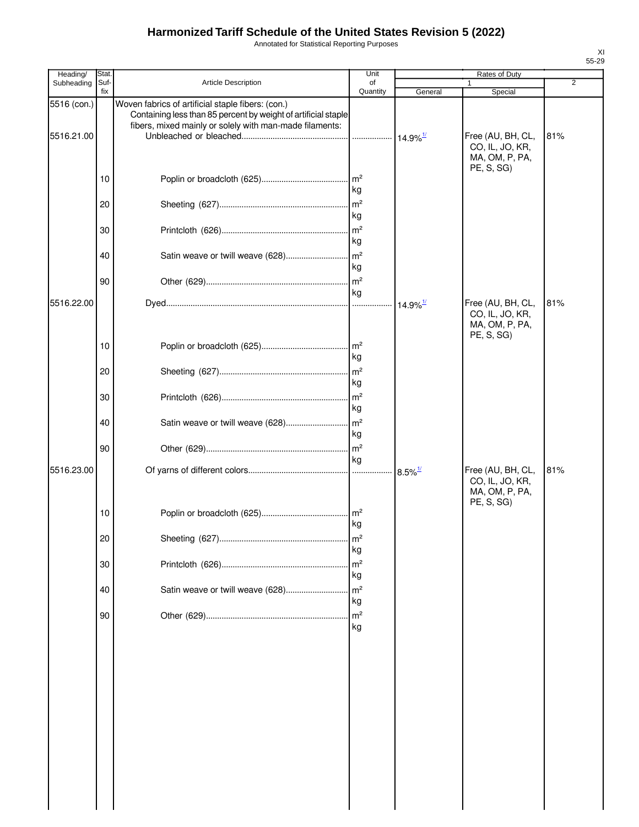Annotated for Statistical Reporting Purposes

| Heading/                  | Stat.       |                                                                                                                                                                                | Unit                  |                        | Rates of Duty                                                        |                |
|---------------------------|-------------|--------------------------------------------------------------------------------------------------------------------------------------------------------------------------------|-----------------------|------------------------|----------------------------------------------------------------------|----------------|
| Subheading                | Suf-<br>fix | Article Description                                                                                                                                                            | of<br>Quantity        | General                | Special                                                              | $\overline{2}$ |
| 5516 (con.)<br>5516.21.00 |             | Woven fabrics of artificial staple fibers: (con.)<br>Containing less than 85 percent by weight of artificial staple<br>fibers, mixed mainly or solely with man-made filaments: | .                     | $14.9\%$ <sup>1/</sup> | Free (AU, BH, CL,<br>CO, IL, JO, KR,                                 | 81%            |
|                           | 10          |                                                                                                                                                                                | kg                    |                        | MA, OM, P, PA,<br>PE, S, SG)                                         |                |
|                           | 20          |                                                                                                                                                                                | m <sup>2</sup><br>kg  |                        |                                                                      |                |
|                           | 30          |                                                                                                                                                                                | m <sup>2</sup><br>kg  |                        |                                                                      |                |
|                           | 40          |                                                                                                                                                                                | kg                    |                        |                                                                      |                |
|                           | 90          |                                                                                                                                                                                | kg                    |                        |                                                                      |                |
| 5516.22.00                |             |                                                                                                                                                                                |                       | $14.9\%$ <sup>1/</sup> | Free (AU, BH, CL,<br>CO, IL, JO, KR,<br>MA, OM, P, PA,<br>PE, S, SG) | 81%            |
|                           | 10          |                                                                                                                                                                                | m <sup>2</sup><br>kg  |                        |                                                                      |                |
|                           | 20          |                                                                                                                                                                                | kg<br>m <sup>2</sup>  |                        |                                                                      |                |
|                           | 30<br>40    |                                                                                                                                                                                | kg                    |                        |                                                                      |                |
|                           | 90          |                                                                                                                                                                                | kg<br>m <sup>2</sup>  |                        |                                                                      |                |
| 5516.23.00                |             |                                                                                                                                                                                | kg                    | $8.5\%$ <sup>1/</sup>  | Free (AU, BH, CL,<br>CO, IL, JO, KR,<br>MA, OM, P, PA,               | 81%            |
|                           | 10          |                                                                                                                                                                                | $\mathsf{Im}^2$<br>kg |                        | PE, S, SG)                                                           |                |
|                           | 20          |                                                                                                                                                                                | $\mathsf{Im}^2$<br>kg |                        |                                                                      |                |
|                           | 30          |                                                                                                                                                                                | m <sup>2</sup><br>kg  |                        |                                                                      |                |
|                           | 40          | Satin weave or twill weave (628)                                                                                                                                               | m <sup>2</sup><br>kg  |                        |                                                                      |                |
|                           | 90          |                                                                                                                                                                                | m <sup>2</sup><br>kg  |                        |                                                                      |                |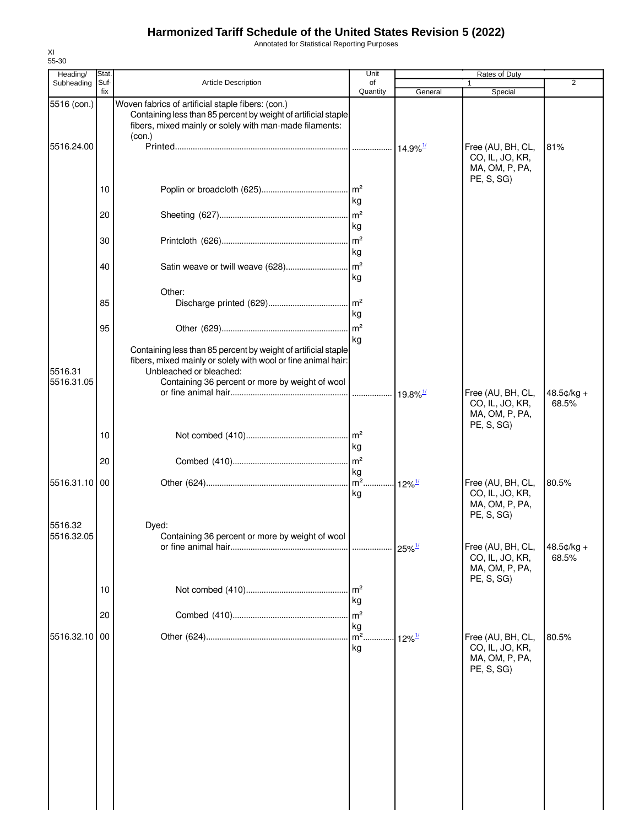Annotated for Statistical Reporting Purposes

| 55-30                  |              |                                                                                                                                                                                          |                                         |                        |                                                                      |                       |
|------------------------|--------------|------------------------------------------------------------------------------------------------------------------------------------------------------------------------------------------|-----------------------------------------|------------------------|----------------------------------------------------------------------|-----------------------|
| Heading/<br>Subheading | Stat<br>Suf- | <b>Article Description</b>                                                                                                                                                               | Unit<br>of                              |                        | Rates of Duty                                                        | $\overline{2}$        |
|                        | fix          |                                                                                                                                                                                          | Quantity                                | General                | Special                                                              |                       |
| 5516 (con.)            |              | Woven fabrics of artificial staple fibers: (con.)<br>Containing less than 85 percent by weight of artificial staple<br>fibers, mixed mainly or solely with man-made filaments:<br>(con.) |                                         |                        |                                                                      |                       |
| 5516.24.00             |              |                                                                                                                                                                                          |                                         | $14.9\%$ <sup>1/</sup> | Free (AU, BH, CL,<br>CO, IL, JO, KR,<br>MA, OM, P, PA,<br>PE, S, SG) | 81%                   |
|                        | 10           |                                                                                                                                                                                          | kg                                      |                        |                                                                      |                       |
|                        | 20           |                                                                                                                                                                                          | kg                                      |                        |                                                                      |                       |
|                        | 30           |                                                                                                                                                                                          | kg                                      |                        |                                                                      |                       |
|                        | 40           | Satin weave or twill weave (628)                                                                                                                                                         | m <sup>2</sup><br>kg                    |                        |                                                                      |                       |
|                        | 85           | Other:                                                                                                                                                                                   | $\mathsf{Im}^2$                         |                        |                                                                      |                       |
|                        | 95           |                                                                                                                                                                                          | kg<br>kg                                |                        |                                                                      |                       |
| 5516.31                |              | Containing less than 85 percent by weight of artificial staple<br>fibers, mixed mainly or solely with wool or fine animal hair:<br>Unbleached or bleached:                               |                                         |                        |                                                                      |                       |
| 5516.31.05             |              | Containing 36 percent or more by weight of wool                                                                                                                                          |                                         | $19.8\%$ <sup>1/</sup> | Free (AU, BH, CL,<br>CO, IL, JO, KR,<br>MA, OM, P, PA,<br>PE, S, SG) | $48.5¢/kg +$<br>68.5% |
|                        | 10           |                                                                                                                                                                                          | kg                                      |                        |                                                                      |                       |
| 5516.31.10             | 20<br>00     |                                                                                                                                                                                          | m <sup>2</sup><br>kg<br>$\mathsf{Im}^2$ | $12\%$ <sup>1/</sup>   | Free (AU, BH, CL,                                                    | 80.5%                 |
|                        |              |                                                                                                                                                                                          | kg                                      |                        | CO, IL, JO, KR,<br>MA, OM, P, PA,<br>PE, S, SG)                      |                       |
| 5516.32<br>5516.32.05  |              | Dved:<br>Containing 36 percent or more by weight of wool                                                                                                                                 | .                                       | $25\%$ <sup>1/</sup>   | Free (AU, BH, CL,<br>CO, IL, JO, KR,<br>MA, OM, P, PA,               | 48.5¢/kg +<br>68.5%   |
|                        | 10           |                                                                                                                                                                                          | m <sup>2</sup><br>kg                    |                        | PE, S, SG                                                            |                       |
|                        | 20           |                                                                                                                                                                                          | m <sup>2</sup><br>kg                    |                        |                                                                      |                       |
| 5516.32.10             | 00           |                                                                                                                                                                                          | $m2$ .<br>kg                            | $12\%$ <sup>1/</sup>   | Free (AU, BH, CL,<br>CO, IL, JO, KR,<br>MA, OM, P, PA,<br>PE, S, SG) | 80.5%                 |
|                        |              |                                                                                                                                                                                          |                                         |                        |                                                                      |                       |
|                        |              |                                                                                                                                                                                          |                                         |                        |                                                                      |                       |
|                        |              |                                                                                                                                                                                          |                                         |                        |                                                                      |                       |
|                        |              |                                                                                                                                                                                          |                                         |                        |                                                                      |                       |

XI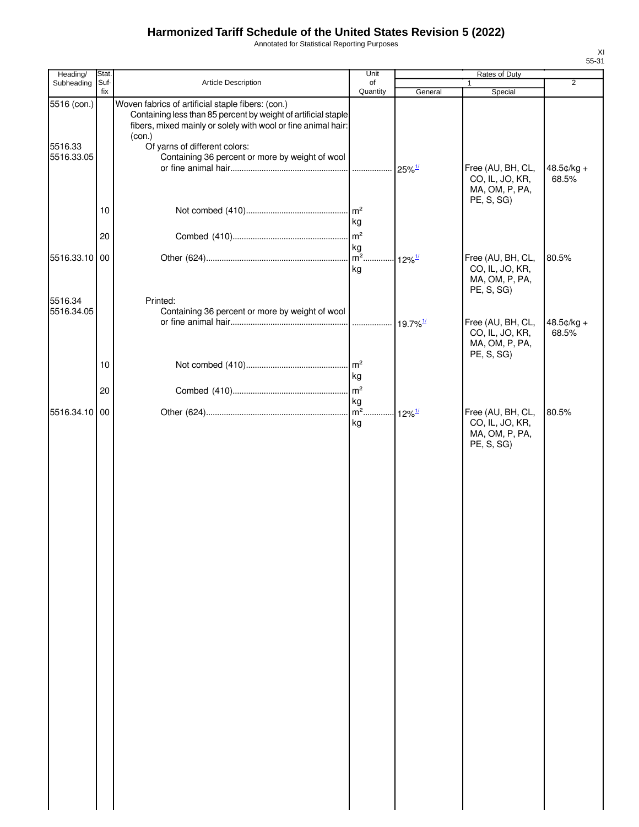Annotated for Statistical Reporting Purposes

| Heading/               | Stat.       |                                                                                                                                                                                                                                 | Unit                                         | Rates of Duty        |                                                                      |                       |
|------------------------|-------------|---------------------------------------------------------------------------------------------------------------------------------------------------------------------------------------------------------------------------------|----------------------------------------------|----------------------|----------------------------------------------------------------------|-----------------------|
| Subheading             | Suf-<br>fix | Article Description                                                                                                                                                                                                             | of<br>Quantity                               | General              | $\mathbf{1}$<br>Special                                              | 2                     |
| 5516 (con.)<br>5516.33 |             | Woven fabrics of artificial staple fibers: (con.)<br>Containing less than 85 percent by weight of artificial staple<br>fibers, mixed mainly or solely with wool or fine animal hair:<br>(con.)<br>Of yarns of different colors: |                                              |                      |                                                                      |                       |
| 5516.33.05             |             | Containing 36 percent or more by weight of wool                                                                                                                                                                                 |                                              | $25\%$ <sup>1/</sup> | Free (AU, BH, CL,<br>CO, IL, JO, KR,<br>MA, OM, P, PA,<br>PE, S, SG) | $48.5¢/kg +$<br>68.5% |
|                        | 10          |                                                                                                                                                                                                                                 | kg                                           |                      |                                                                      |                       |
|                        | 20          |                                                                                                                                                                                                                                 | kg                                           |                      |                                                                      |                       |
| 5516.33.10 00          |             |                                                                                                                                                                                                                                 | kg                                           | $12\%$ <sup>1/</sup> | Free (AU, BH, CL,<br>CO, IL, JO, KR,<br>MA, OM, P, PA,<br>PE, S, SG) | 80.5%                 |
| 5516.34<br>5516.34.05  |             | Printed:<br>Containing 36 percent or more by weight of wool                                                                                                                                                                     |                                              |                      |                                                                      |                       |
|                        |             |                                                                                                                                                                                                                                 |                                              |                      | Free (AU, BH, CL,<br>CO, IL, JO, KR,<br>MA, OM, P, PA,<br>PE, S, SG) | 48.5¢/kg +<br>68.5%   |
|                        | 10          |                                                                                                                                                                                                                                 | m <sup>2</sup><br>kg                         |                      |                                                                      |                       |
|                        | 20          |                                                                                                                                                                                                                                 |                                              |                      |                                                                      |                       |
| 5516.34.10 00          |             |                                                                                                                                                                                                                                 | kg<br>m <sup>2</sup> 12% <sup>1/</sup><br>kg |                      | Free (AU, BH, CL,<br>CO, IL, JO, KR,<br>MA, OM, P, PA,<br>PE, S, SG) | 80.5%                 |
|                        |             |                                                                                                                                                                                                                                 |                                              |                      |                                                                      |                       |
|                        |             |                                                                                                                                                                                                                                 |                                              |                      |                                                                      |                       |
|                        |             |                                                                                                                                                                                                                                 |                                              |                      |                                                                      |                       |
|                        |             |                                                                                                                                                                                                                                 |                                              |                      |                                                                      |                       |
|                        |             |                                                                                                                                                                                                                                 |                                              |                      |                                                                      |                       |
|                        |             |                                                                                                                                                                                                                                 |                                              |                      |                                                                      |                       |
|                        |             |                                                                                                                                                                                                                                 |                                              |                      |                                                                      |                       |
|                        |             |                                                                                                                                                                                                                                 |                                              |                      |                                                                      |                       |
|                        |             |                                                                                                                                                                                                                                 |                                              |                      |                                                                      |                       |
|                        |             |                                                                                                                                                                                                                                 |                                              |                      |                                                                      |                       |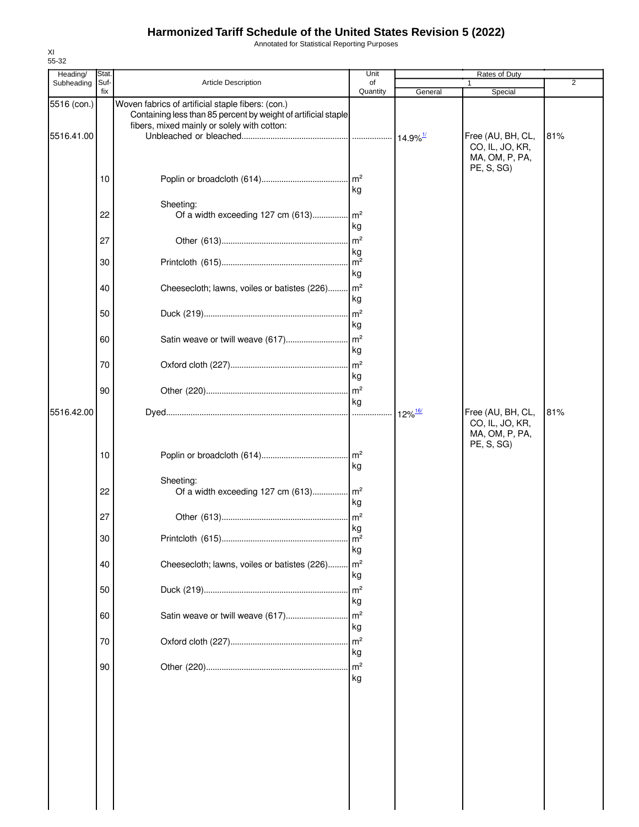Annotated for Statistical Reporting Purposes

| Heading/    | Stat. |                                                                                                                     | Unit                  |                       | Rates of Duty                                          |     |
|-------------|-------|---------------------------------------------------------------------------------------------------------------------|-----------------------|-----------------------|--------------------------------------------------------|-----|
| Subheading  | Suf-  | <b>Article Description</b>                                                                                          | of                    |                       |                                                        | 2   |
| 5516 (con.) | fix   | Woven fabrics of artificial staple fibers: (con.)<br>Containing less than 85 percent by weight of artificial staple | Quantity              | General               | Special                                                |     |
| 5516.41.00  |       | fibers, mixed mainly or solely with cotton:                                                                         |                       |                       | Free (AU, BH, CL,<br>CO, IL, JO, KR,                   | 81% |
|             | 10    |                                                                                                                     | kg                    |                       | MA, OM, P, PA,<br>PE, S, SG)                           |     |
|             | 22    | Sheeting:<br>Of a width exceeding 127 cm (613) m <sup>2</sup>                                                       | kg                    |                       |                                                        |     |
|             | 27    |                                                                                                                     | kg                    |                       |                                                        |     |
|             | 30    |                                                                                                                     | $\mathsf{Im}^2$<br>kg |                       |                                                        |     |
|             | 40    | Cheesecloth; lawns, voiles or batistes (226) m <sup>2</sup>                                                         | kg                    |                       |                                                        |     |
|             | 50    |                                                                                                                     | kg                    |                       |                                                        |     |
|             | 60    | Satin weave or twill weave (617)                                                                                    | $\mathsf{Im}^2$<br>kg |                       |                                                        |     |
|             | 70    |                                                                                                                     | kg                    |                       |                                                        |     |
|             | 90    |                                                                                                                     | kg                    |                       |                                                        |     |
| 5516.42.00  |       |                                                                                                                     |                       | $12\%$ <sup>16/</sup> | Free (AU, BH, CL,<br>CO, IL, JO, KR,<br>MA, OM, P, PA, | 81% |
|             | 10    |                                                                                                                     | kg                    |                       | PE, S, SG)                                             |     |
|             | 22    | Sheeting:<br>Of a width exceeding 127 cm $(613)$ m <sup>2</sup>                                                     | kg                    |                       |                                                        |     |
|             | 27    |                                                                                                                     | $\mathsf{m}^2$<br>kg  |                       |                                                        |     |
|             | 30    |                                                                                                                     | $\mathsf{Im}^2$<br>kg |                       |                                                        |     |
|             | 40    | Cheesecloth; lawns, voiles or batistes (226)                                                                        | $\mathsf{Im}^2$<br>kg |                       |                                                        |     |
|             | 50    |                                                                                                                     | m <sup>2</sup><br>kg  |                       |                                                        |     |
|             | 60    | Satin weave or twill weave (617)                                                                                    | $\mathsf{Im}^2$<br>kg |                       |                                                        |     |
|             | 70    |                                                                                                                     | m <sup>2</sup><br>kg  |                       |                                                        |     |
|             | 90    |                                                                                                                     | kg                    |                       |                                                        |     |
|             |       |                                                                                                                     |                       |                       |                                                        |     |
|             |       |                                                                                                                     |                       |                       |                                                        |     |
|             |       |                                                                                                                     |                       |                       |                                                        |     |
|             |       |                                                                                                                     |                       |                       |                                                        |     |
|             |       |                                                                                                                     |                       |                       |                                                        |     |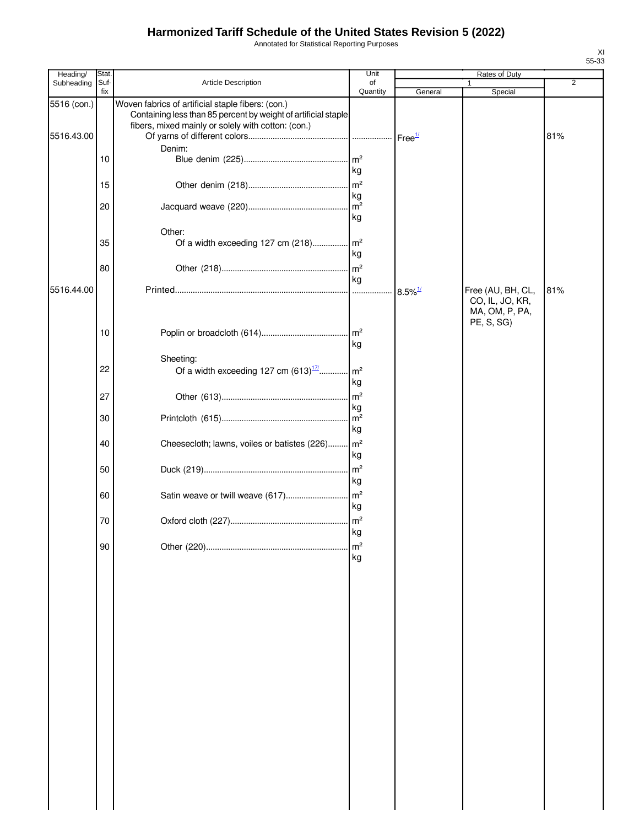Annotated for Statistical Reporting Purposes

| Heading/                  | Stat.       |                                                                                                                                                                           | Unit                  |                       | Rates of Duty                                          |                |
|---------------------------|-------------|---------------------------------------------------------------------------------------------------------------------------------------------------------------------------|-----------------------|-----------------------|--------------------------------------------------------|----------------|
| Subheading                | Suf-<br>fix | Article Description                                                                                                                                                       | of<br>Quantity        | General               | 1<br>Special                                           | $\overline{2}$ |
| 5516 (con.)<br>5516.43.00 |             | Woven fabrics of artificial staple fibers: (con.)<br>Containing less than 85 percent by weight of artificial staple<br>fibers, mixed mainly or solely with cotton: (con.) |                       |                       |                                                        | 81%            |
|                           | 10          | Denim:                                                                                                                                                                    | $\mathsf{Im}^2$<br>kg |                       |                                                        |                |
|                           | 15          |                                                                                                                                                                           |                       |                       |                                                        |                |
|                           | 20          |                                                                                                                                                                           | kg<br>kg              |                       |                                                        |                |
|                           | 35          | Other:<br>Of a width exceeding 127 cm (218) m <sup>2</sup>                                                                                                                | kg                    |                       |                                                        |                |
|                           | 80          |                                                                                                                                                                           | m <sup>2</sup><br>kg  |                       |                                                        |                |
| 5516.44.00                |             |                                                                                                                                                                           |                       | $8.5\%$ <sup>1/</sup> | Free (AU, BH, CL,<br>CO, IL, JO, KR,<br>MA, OM, P, PA, | 81%            |
|                           | 10          |                                                                                                                                                                           | kg                    |                       | PE, S, SG)                                             |                |
|                           | 22          | Sheeting:<br>Of a width exceeding 127 cm $(613)^{\frac{17}{1}}$                                                                                                           | $\mathsf{m}^2$<br>kg  |                       |                                                        |                |
|                           | 27          |                                                                                                                                                                           | $\mathsf{Im}^2$<br>kg |                       |                                                        |                |
|                           | 30          |                                                                                                                                                                           | m <sup>2</sup><br>kg  |                       |                                                        |                |
|                           | 40          | Cheesecloth; lawns, voiles or batistes (226)                                                                                                                              | $\mathsf{Im}^2$<br>kg |                       |                                                        |                |
|                           | 50          |                                                                                                                                                                           | $\mathsf{Im}^2$<br>kg |                       |                                                        |                |
|                           | 60          |                                                                                                                                                                           | kg                    |                       |                                                        |                |
|                           | 70          |                                                                                                                                                                           | kg                    |                       |                                                        |                |
|                           | 90          |                                                                                                                                                                           | m <sup>2</sup><br>kg  |                       |                                                        |                |
|                           |             |                                                                                                                                                                           |                       |                       |                                                        |                |
|                           |             |                                                                                                                                                                           |                       |                       |                                                        |                |
|                           |             |                                                                                                                                                                           |                       |                       |                                                        |                |
|                           |             |                                                                                                                                                                           |                       |                       |                                                        |                |
|                           |             |                                                                                                                                                                           |                       |                       |                                                        |                |
|                           |             |                                                                                                                                                                           |                       |                       |                                                        |                |
|                           |             |                                                                                                                                                                           |                       |                       |                                                        |                |
|                           |             |                                                                                                                                                                           |                       |                       |                                                        |                |
|                           |             |                                                                                                                                                                           |                       |                       |                                                        |                |
|                           |             |                                                                                                                                                                           |                       |                       |                                                        |                |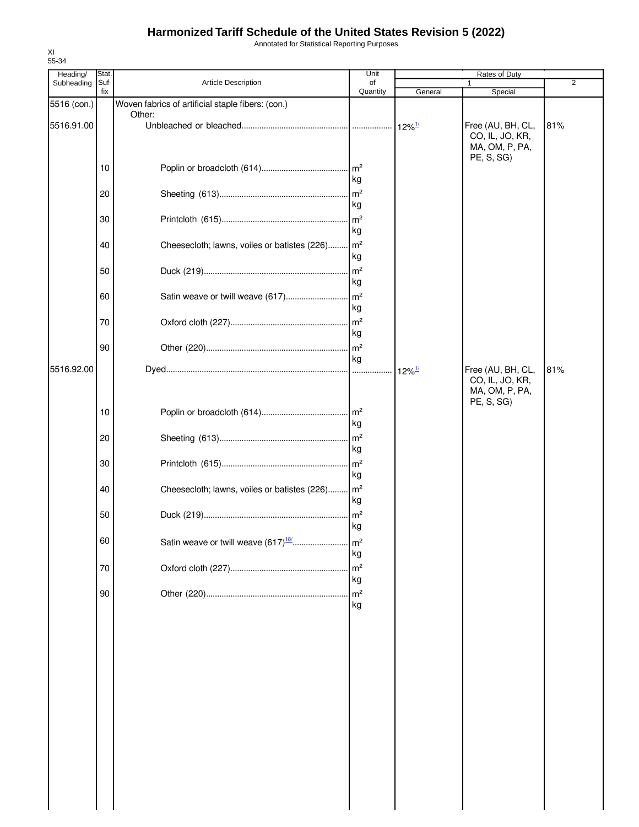Annotated for Statistical Reporting Purposes

| Heading/    | Stat.       |                                                             |                       |                      | 2                                                                    |     |
|-------------|-------------|-------------------------------------------------------------|-----------------------|----------------------|----------------------------------------------------------------------|-----|
| Subheading  | Suf-<br>fix | <b>Article Description</b>                                  | of<br>Quantity        | General              | Special                                                              |     |
| 5516 (con.) |             | Woven fabrics of artificial staple fibers: (con.)           |                       |                      |                                                                      |     |
| 5516.91.00  |             | Other:                                                      |                       | $12\%$ <sup>1/</sup> | Free (AU, BH, CL,<br>CO, IL, JO, KR,<br>MA, OM, P, PA,               | 81% |
|             | 10          |                                                             | kg                    |                      | PE, S, SG)                                                           |     |
|             | 20          |                                                             | kg                    |                      |                                                                      |     |
|             | 30          |                                                             | m <sup>2</sup><br>kg  |                      |                                                                      |     |
|             | 40          | Cheesecloth; lawns, voiles or batistes (226) m <sup>2</sup> | kg                    |                      |                                                                      |     |
|             | 50          |                                                             | $\mathsf{Im}^2$<br>kg |                      |                                                                      |     |
|             | 60          |                                                             | kg                    |                      |                                                                      |     |
|             | 70          |                                                             | kg                    |                      |                                                                      |     |
|             | 90          |                                                             | $\mathsf{Im}^2$<br>kg |                      |                                                                      |     |
| 5516.92.00  |             |                                                             |                       | $12\%$ <sup>1/</sup> | Free (AU, BH, CL,<br>CO, IL, JO, KR,<br>MA, OM, P, PA,<br>PE, S, SG) | 81% |
|             | 10          |                                                             | kg                    |                      |                                                                      |     |
|             | 20          |                                                             | kg                    |                      |                                                                      |     |
|             | 30          |                                                             | kg                    |                      |                                                                      |     |
|             | 40          | Cheesecloth; lawns, voiles or batistes (226)                | m <sup>2</sup><br>kg  |                      |                                                                      |     |
|             | 50          |                                                             | kg                    |                      |                                                                      |     |
|             | 60          |                                                             | m <sup>2</sup><br>kg  |                      |                                                                      |     |
|             | 70          |                                                             | m <sup>2</sup><br>kg  |                      |                                                                      |     |
|             | 90          |                                                             | m <sup>2</sup><br>kg  |                      |                                                                      |     |
|             |             |                                                             |                       |                      |                                                                      |     |
|             |             |                                                             |                       |                      |                                                                      |     |
|             |             |                                                             |                       |                      |                                                                      |     |
|             |             |                                                             |                       |                      |                                                                      |     |
|             |             |                                                             |                       |                      |                                                                      |     |
|             |             |                                                             |                       |                      |                                                                      |     |
|             |             |                                                             |                       |                      |                                                                      |     |
|             |             |                                                             |                       |                      |                                                                      |     |

XI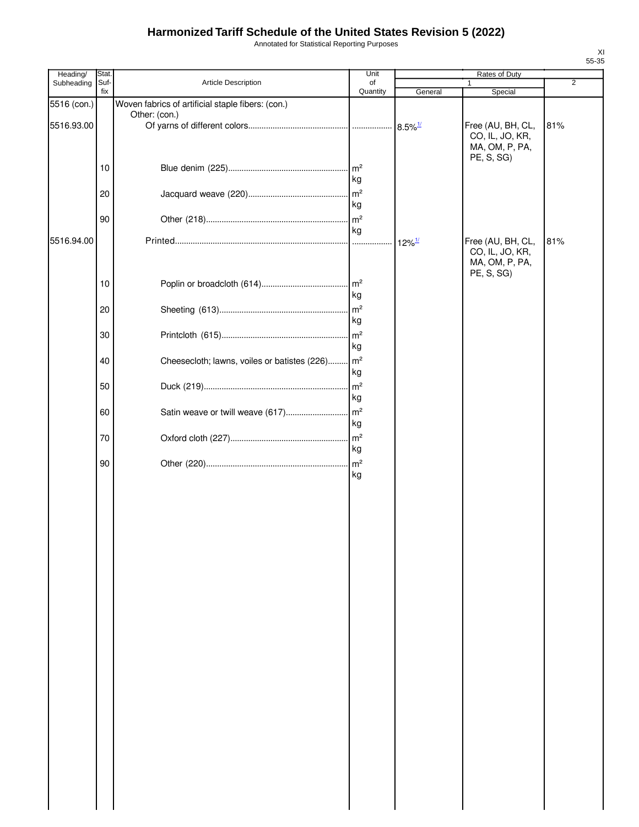Annotated for Statistical Reporting Purposes

| Heading/    | Stat.       |                                                   | Unit                                   |                       |                                                                      |                |
|-------------|-------------|---------------------------------------------------|----------------------------------------|-----------------------|----------------------------------------------------------------------|----------------|
| Subheading  | Suf-<br>fix | Article Description                               | of<br>Quantity                         | General               | 1<br>Special                                                         | $\overline{2}$ |
| 5516 (con.) |             | Woven fabrics of artificial staple fibers: (con.) |                                        |                       |                                                                      |                |
| 5516.93.00  |             | Other: (con.)                                     |                                        | $8.5\%$ <sup>1/</sup> | Free (AU, BH, CL,<br>CO, IL, JO, KR,<br>MA, OM, P, PA,               | 81%            |
|             | 10          |                                                   | kg                                     |                       | PE, S, SG)                                                           |                |
|             | 20          |                                                   | m <sup>2</sup><br>kg                   |                       |                                                                      |                |
|             | 90          |                                                   | m <sup>2</sup><br>kg                   |                       |                                                                      |                |
| 5516.94.00  |             |                                                   |                                        | $12\%$ <sup>1/</sup>  | Free (AU, BH, CL,<br>CO, IL, JO, KR,<br>MA, OM, P, PA,<br>PE, S, SG) | 81%            |
|             | 10          |                                                   | m <sup>2</sup><br>kg                   |                       |                                                                      |                |
|             | 20          |                                                   | m <sup>2</sup><br>kg                   |                       |                                                                      |                |
|             | 30          |                                                   | m <sup>2</sup><br>kg                   |                       |                                                                      |                |
|             | 40          | Cheesecloth; lawns, voiles or batistes (226)      | m <sup>2</sup><br>kg<br>m <sup>2</sup> |                       |                                                                      |                |
|             | 50<br>60    | Satin weave or twill weave (617)                  | kg<br>m <sup>2</sup>                   |                       |                                                                      |                |
|             | 70          |                                                   | kg<br>m <sup>2</sup>                   |                       |                                                                      |                |
|             | 90          |                                                   | kg<br>m <sup>2</sup>                   |                       |                                                                      |                |
|             |             |                                                   | kg                                     |                       |                                                                      |                |
|             |             |                                                   |                                        |                       |                                                                      |                |
|             |             |                                                   |                                        |                       |                                                                      |                |
|             |             |                                                   |                                        |                       |                                                                      |                |
|             |             |                                                   |                                        |                       |                                                                      |                |
|             |             |                                                   |                                        |                       |                                                                      |                |
|             |             |                                                   |                                        |                       |                                                                      |                |
|             |             |                                                   |                                        |                       |                                                                      |                |
|             |             |                                                   |                                        |                       |                                                                      |                |
|             |             |                                                   |                                        |                       |                                                                      |                |
|             |             |                                                   |                                        |                       |                                                                      |                |
|             |             |                                                   |                                        |                       |                                                                      |                |
|             |             |                                                   |                                        |                       |                                                                      |                |